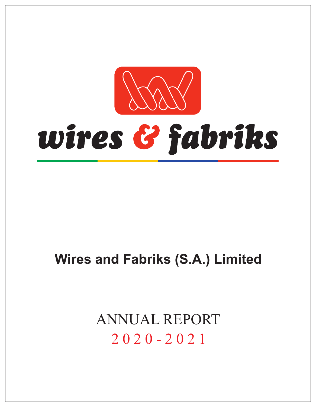

## **Wires and Fabriks (S.A.) Limited**

# ANNUAL REPORT 2 0 2 0 - 2 0 2 1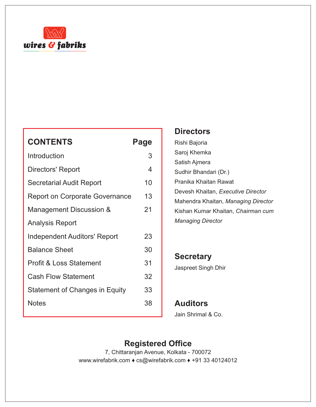

# **CONTENTS Page**

| 3  |
|----|
| 4  |
| 10 |
| 13 |
| 21 |
|    |
| 23 |
| 30 |
| 31 |
| 32 |
| 33 |
| 38 |
|    |

## **Directors**

Rishi Bajoria Saroj Khemka Satish Ajmera Sudhir Bhandari (Dr.) Pranika Khaitan Rawat Devesh Khaitan, *Executive Director* Mahendra Khaitan, *Managing Director* Kishan Kumar Khaitan, *Chairman cum Managing Director* 

## **Secretary**

Jaspreet Singh Dhir

## **Auditors**

Jain Shrimal & Co.

## **Registered Office**

7, Chittaranjan Avenue, Kolkata - 700072 www.wirefabrik.com ♦ cs@wirefabrik.com ♦ +91 33 40124012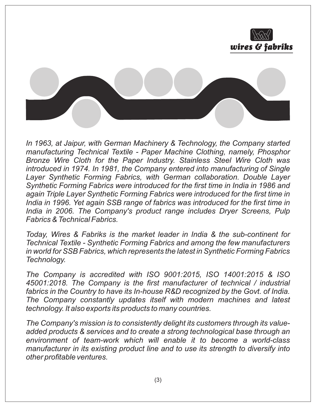



*In 1963, at Jaipur, with German Machinery & Technology, the Company started manufacturing Technical Textile - Paper Machine Clothing, namely, Phosphor Bronze Wire Cloth for the Paper Industry. Stainless Steel Wire Cloth was introduced in 1974. In 1981, the Company entered into manufacturing of Single Layer Synthetic Forming Fabrics, with German collaboration. Double Layer Synthetic Forming Fabrics were introduced for the first time in India in 1986 and again Triple Layer Synthetic Forming Fabrics were introduced for the first time in India in 1996. Yet again SSB range of fabrics was introduced for the first time in India in 2006. The Company's product range includes Dryer Screens, Pulp Fabrics & Technical Fabrics.*

*Today, Wires & Fabriks is the market leader in India & the sub-continent for Technical Textile - Synthetic Forming Fabrics and among the few manufacturers in world for SSB Fabrics, which represents the latest in Synthetic Forming Fabrics Technology.*

*The Company is accredited with ISO 9001:2015, ISO 14001:2015 & ISO 45001:2018. The Company is the first manufacturer of technical / industrial fabrics in the Country to have its In-house R&D recognized by the Govt. of India. The Company constantly updates itself with modern machines and latest technology. It also exports its products to many countries.*

*The Company's mission is to consistently delight its customers through its valueadded products & services and to create a strong technological base through an environment of team-work which will enable it to become a world-class manufacturer in its existing product line and to use its strength to diversify into other profitable ventures.*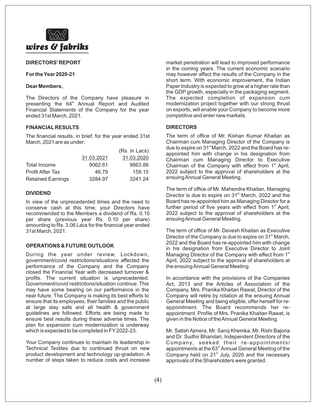

#### **DIRECTORS' REPORT**

**For the Year 2020-21**

#### **Dear Members,**

The Directors of the Company have pleasure in presenting the 64<sup>th</sup> Annual Report and Audited Financial Statements of the Company for the year ended 31st March, 2021.

#### **FINANCIAL RESULTS**

The financial results, in brief, for the year ended 31st March, 2021 are as under:

|                          |            | (Rs. In Lacs) |
|--------------------------|------------|---------------|
|                          | 31.03.2021 | 31.03.2020    |
| Total Income             | 9062.61    | 9863.86       |
| <b>Profit After Tax</b>  | 46.79      | 159.15        |
| <b>Retained Earnings</b> | 3284.97    | 3241.24       |

#### **DIVIDEND**

In view of the unprecedented times and the need to conserve cash at this time, your Directors have recommended to the Members a dividend of Rs. 0.10 per share (previous year Rs. 0.10 per share) amounting to Rs. 3.06 Lacs for the financial year ended 31st March, 2021.

#### **OPERATIONS & FUTURE OUTLOOK**

During the year under review, Lockdown, government/covid restrictions/situations affected the performance of the Company and the Company closed the Financial Year with decreased turnover & profits. The current situation is unprecedented. Government/covid restrictions/situation continue. This may have some bearing on our performance in the near future. The Company is making its best efforts to ensure that its employees, their families and the public at large stay safe and all health & government guidelines are followed. Efforts are being made to ensure best results during these adverse times. The plan for expansion cum modernization is underway which is expected to be completed in FY 2022-23.

Your Company continues to maintain its leadership in Technical Textiles due to continued thrust on new product development and technology up-gradation. A number of steps taken to reduce costs and increase market penetration will lead to improved performance in the coming years. The current economic scenario may however affect the results of the Company in the short term. With economic improvement, the Indian Paper Industry is expected to grow at a higher rate than the GDP growth, especially in the packaging segment. The expected completion of expansion cum modernization project together with our strong thrust on exports, will enable your Company to become more competitive and enter new markets.

#### **DIRECTORS**

The term of office of Mr. Kishan Kumar Khaitan as Chairman cum Managing Director of the Company is due to expire on 31<sup>st</sup> March, 2022 and the Board has reappointed him with change in his designation from Chairman cum Managing Director to Executive Chairman of the Company with effect from  $1<sup>st</sup>$  April, 2022 subject to the approval of shareholders at the ensuing Annual General Meeting.

The term of office of Mr. Mahendra Khaitan, Managing Director is due to expire on 31<sup>st</sup> March, 2022 and the Board has re-appointed him as Managing Director for a further period of five years with effect from  $1<sup>st</sup>$  April, 2022 subject to the approval of shareholders at the ensuing Annual General Meeting.

The term of office of Mr. Devesh Khaitan as Executive Director of the Company is due to expire on 31<sup>st</sup> March, 2022 and the Board has re-appointed him with change in his designation from Executive Director to Joint Managing Director of the Company with effect from 1<sup>st</sup> April, 2022 subject to the approval of shareholders at the ensuing Annual General Meeting.

In accordance with the provisions of the Companies Act, 2013 and the Articles of Association of the Company, Mrs. Pranika Khaitan Rawat, Director of the Company will retire by rotation at the ensuing Annual General Meeting and being eligible, offer herself for reappointment. The Board recommends her reappointment. Profile of Mrs. Pranika Khaitan Rawat, is given in the Notice of the Annual General Meeting.

Mr. Satish Ajmera, Mr. Saroj Khemka, Mr. Rishi Bajoria and Dr. Sudhir Bhandari, Independent Directors of the Company, seeked their re-appointments/ appointments at the  $63<sup>rd</sup>$  Annual General Meeting of the Company held on  $21<sup>st</sup>$  July, 2020 and the necessary approvals of the Shareholders were granted.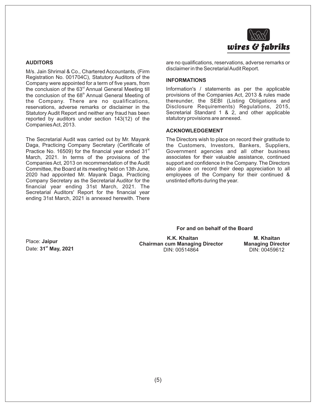

#### **AUDITORS**

M/s. Jain Shrimal & Co., Chartered Accountants, (Firm Registration No. 001704C), Statutory Auditors of the Company were appointed for a term of five years, from the conclusion of the 63<sup>rd</sup> Annual General Meeting till the conclusion of the 68<sup>th</sup> Annual General Meeting of the Company. There are no qualifications, reservations, adverse remarks or disclaimer in the Statutory Audit Report and neither any fraud has been reported by auditors under section 143(12) of the Companies Act, 2013.

The Secretarial Audit was carried out by Mr. Mayank Daga, Practicing Company Secretary (Certificate of Practice No. 16509) for the financial year ended  $31<sup>st</sup>$ March, 2021. In terms of the provisions of the Companies Act, 2013 on recommendation of the Audit Committee, the Board at its meeting held on 13th June, 2020 had appointed Mr. Mayank Daga, Practicing Company Secretary as the Secretarial Auditor for the financial year ending 31st March, 2021. The Secretarial Auditors' Report for the financial year ending 31st March, 2021 is annexed herewith. There

are no qualifications, reservations, adverse remarks or disclaimer in the Secretarial Audit Report.

#### **INFORMATIONS**

Information's / statements as per the applicable provisions of the Companies Act, 2013 & rules made thereunder, the SEBI (Listing Obligations and Disclosure Requirements) Regulations, 2015, Secretarial Standard 1 & 2, and other applicable statutory provisions are annexed.

#### **ACKNOWLEDGEMENT**

The Directors wish to place on record their gratitude to the Customers, Investors, Bankers, Suppliers, Government agencies and all other business associates for their valuable assistance, continued support and confidence in the Company. The Directors also place on record their deep appreciation to all employees of the Company for their continued & unstinted efforts during the year.

#### **For and on behalf of the Board**

Place: **Jaipur st** Date: **31 May, 2021**

 **K.K. Khaitan Chairman cum Managing Director** DIN: 00514864

**M. Khaitan Managing Director** DIN: 00459612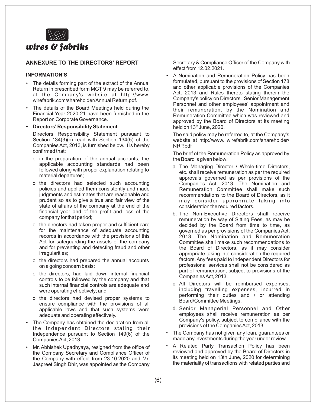

#### **ANNEXURE TO THE DIRECTORS' REPORT**

#### **INFORMATION'S**

- The details forming part of the extract of the Annual Return in prescribed form MGT 9 may be referred to, at the Company's website at http://www. wirefabrik.com/shareholder/Annual Return.pdf.
- The details of the Board Meetings held during the Financial Year 2020-21 have been furnished in the Report on Corporate Governance.

#### **• Directors' Responsibility Statement**

Directors Responsibility Statement pursuant to Section 134(3)(c) read with Section 134(5) of the Companies Act, 2013, is furnished below. It is hereby confirmed that:

- o in the preparation of the annual accounts, the applicable accounting standards had been followed along with proper explanation relating to material departures;
- o the directors had selected such accounting policies and applied them consistently and made judgments and estimates that are reasonable and prudent so as to give a true and fair view of the state of affairs of the company at the end of the financial year and of the profit and loss of the company for that period;
- o the directors had taken proper and sufficient care for the maintenance of adequate accounting records in accordance with the provisions of this Act for safeguarding the assets of the company and for preventing and detecting fraud and other irregularities;
- o the directors had prepared the annual accounts on a going concern basis;
- o the directors, had laid down internal financial controls to be followed by the company and that such internal financial controls are adequate and were operating effectively; and
- o the directors had devised proper systems to ensure compliance with the provisions of all applicable laws and that such systems were adequate and operating effectively.
- The Company has obtained the declaration from all the Independent Directors stating their Independence pursuant to Section 149(6) of the Companies Act, 2013.
- Mr. Abhishek Upadhyaya, resigned from the office of the Company Secretary and Compliance Officer of the Company with effect from 23.10.2020 and Mr. Jaspreet Singh Dhir, was appointed as the Company

Secretary & Compliance Officer of the Company with effect from 12.02.2021

• A Nomination and Remuneration Policy has been formulated, pursuant to the provisions of Section 178 and other applicable provisions of the Companies Act, 2013 and Rules thereto stating therein the Company's policy on Directors', Senior Management Personnel and other employees' appointment and their remuneration, by the Nomination and Remuneration Committee which was reviewed and approved by the Board of Directors at its meeting held on  $13<sup>th</sup>$  June, 2020.

The said policy may be referred to, at the Company's website at http://www. wirefabrik.com/shareholder/ NRP.pdf

The brief of the Remuneration Policy as approved by the Board is given below:

- a. The Managing Director / Whole-time Directors, etc. shall receive remuneration as per the required approvals governed as per provisions of the Companies Act, 2013. The Nomination and Remuneration Committee shall make such recommendations to the Board of Directors, as it may consider appropriate taking into consideration the required factors.
- b. The Non-Executive Directors shall receive remuneration by way of Sitting Fees, as may be decided by the Board from time to time, as governed as per provisions of the Companies Act, 2013. The Nomination and Remuneration Committee shall make such recommendations to the Board of Directors, as it may consider appropriate taking into consideration the required factors. Any fees paid to Independent Directors for professional services shall not be considered as part of remuneration, subject to provisions of the Companies Act, 2013.
- c. All Directors will be reimbursed expenses, including travelling expenses, incurred in performing their duties and / or attending Board/Committee Meetings.
- d. Senior Managerial Personnel and Other employees shall receive remuneration as per Company's policy, subject to compliance with the provisions of the Companies Act, 2013.
- The Company has not given any loan, guarantees or made any investments during the year under review.
- A Related Party Transaction Policy has been reviewed and approved by the Board of Directors in its meeting held on 13th June, 2020 for determining the materiality of transactions with related parties and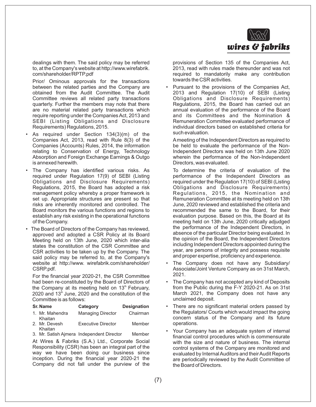

dealings with them. The said policy may be referred to, at the Company's website at http://www.wirefabrik. com/shareholder/RPTP.pdf

Prior/ Ominous approvals for the transactions between the related parties and the Company are obtained from the Audit Committee. The Audit Committee reviews all related party transactions quarterly. Further the members may note that there are no material related party transactions which require reporting under the Companies Act, 2013 and SEBI (Listing Obligations and Disclosure Requirements) Regulations, 2015.

- As required under Section 134(3)(m) of the Companies Act, 2013, read with Rule 8(3) of the Companies (Accounts) Rules, 2014, the information relating to Conservation of Energy, Technology Absorption and Foreign Exchange Earnings & Outgo is annexed herewith.
- The Company has identified various risks. As required under Regulation 17(9) of SEBI (Listing Obligations and Disclosure Requirements) Regulations, 2015, the Board has adopted a risk management policy whereby a proper framework is set up. Appropriate structures are present so that risks are inherently monitored and controlled. The Board monitors the various functions and regions to establish any risk existing in the operational functions of the Company.
- The Board of Directors of the Company has reviewed, approved and adopted a CSR Policy at its Board Meeting held on 13th June, 2020 which inter-alia states the constitution of the CSR Committee and CSR activities to be taken up by the Company. The said policy may be referred to, at the Company's website at http://www. wirefabrik.com/shareholder/ CSRP.pdf.

For the financial year 2020-21, the CSR Committee had been re-constituted by the Board of Directors of the Company at its meeting held on  $13<sup>th</sup>$  February, 2020 and  $13<sup>th</sup>$  June, 2020 and the constitution of the Committee is as follows:

| <b>Sr. Name</b> | Category | <b>Designation</b> |
|-----------------|----------|--------------------|
|-----------------|----------|--------------------|

| 1. Mr. Mahendra          | <b>Managing Director</b>  | Chairman |
|--------------------------|---------------------------|----------|
| Khaitan<br>2. Mr. Devesh | <b>Executive Director</b> | Member   |
| Khaitan                  |                           |          |

3. Mr. Satish Ajmera Independent Director Member

At Wires & Fabriks (S.A.) Ltd., Corporate Social Responsibility (CSR) has been an integral part of the way we have been doing our business since inception. During the financial year 2020-21 the Company did not fall under the purview of the provisions of Section 135 of the Companies Act, 2013, read with rules made thereunder and was not required to mandatorily make any contribution towards the CSR activities.

• Pursuant to the provisions of the Companies Act, 2013 and Regulation 17(10) of SEBI (Listing Obligations and Disclosure Requirements) Regulations, 2015, the Board has carried out an annual evaluation of the performance of the Board and its Committees and the Nomination & Remuneration Committee evaluated performance of individual directors based on established criteria for such evaluation.

A meeting of the Independent Directors as required to be held to evaluate the performance of the Non-Independent Directors was held on 13th June 2020 wherein the performance of the Non-Independent Directors, was evaluated.

To determine the criteria of evaluation of the performance of the Independent Directors as required under the Regulation 17(10) of SEBI (Listing Obligations and Disclosure Requirements) Regulations, 2015, the Nomination and Remuneration Committee at its meeting held on 13th June, 2020 reviewed and established the criteria and recommended the same to the Board, for their evaluation purpose. Based on this, the Board at its meeting held on 13th June, 2020 critically adjudged the performance of the Independent Directors, in absence of the particular Director being evaluated. In the opinion of the Board, the Independent Directors including Independent Directors appointed during the year, are persons of integrity and possess requisite and proper expertise, proficiency and experience.

- The Company does not have any Subsidiary/ Associate/Joint Venture Company as on 31st March, 2021.
- The Company has not accepted any kind of Deposits from the Public during the F-Y 2020-21. As on 31st March 2021, the Company does not have any unclaimed deposit.
- There are no significant material orders passed by the Regulators/ Courts which would impact the going concern status of the Company and its future operations.
- Your Company has an adequate system of internal financial control procedures which is commensurate with the size and nature of business. The internal control systems of the Company are monitored and evaluated by Internal Auditors and their Audit Reports are periodically reviewed by the Audit Committee of the Board of Directors.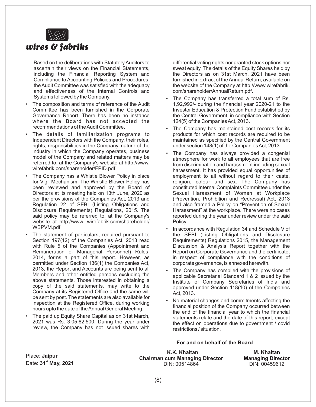

Based on the deliberations with Statutory Auditors to ascertain their views on the Financial Statements, including the Financial Reporting System and Compliance to Accounting Policies and Procedures, the Audit Committee was satisfied with the adequacy and effectiveness of the Internal Controls and Systems followed by the Company.

- The composition and terms of reference of the Audit Committee has been furnished in the Corporate Governance Report. There has been no instance where the Board has not accepted the recommendations of the Audit Committee.
- The details of familiarization programs to Independent Directors with the Company, their roles, rights, responsibilities in the Company, nature of the industry in which the Company operates, business model of the Company and related matters may be referred to, at the Company's website at http://www. wirefabrik.com/shareholder/FPID.pdf.
- The Company has a Whistle Blower Policy in place for Vigil Mechanism. The Whistle Blower Policy has been reviewed and approved by the Board of Directors at its meeting held on 13th June, 2020 as per the provisions of the Companies Act, 2013 and Regulation 22 of SEBI (Listing Obligations and Disclosure Requirements) Regulations, 2015. The said policy may be referred to, at the Company's website at http://www. wirefabrik.com/shareholder/ WBPVM.pdf
- The statement of particulars, required pursuant to Section 197(12) of the Companies Act, 2013 read with Rule 5 of the Companies (Appointment and Remuneration of Managerial Personnel) Rules, 2014, forms a part of this report. However, as permitted under Section 136(1) the Companies Act, 2013, the Report and Accounts are being sent to all Members and other entitled persons excluding the above statements. Those interested in obtaining a copy of the said statements, may write to the Company at its Registered Office and the same will be sent by post. The statements are also available for inspection at the Registered Office, during working hours upto the date of the Annual General Meeting.
- The paid up Equity Share Capital as on 31st March. 2021 was Rs. 3,05,62,500. During the year under review, the Company has not issued shares with

differential voting rights nor granted stock options nor sweat equity. The details of the Equity Shares held by the Directors as on 31st March, 2021 have been furnished in extract of the Annual Return, available on the website of the Company at http://www.wirefabrik. com/shareholder/AnnualReturn.pdf.

- The Company has transferred a total sum of Rs. 1,92,992/- during the financial year 2020-21 to the Investor Education & Protection Fund established by the Central Government, in compliance with Section 124(5) of the Companies Act, 2013.
- The Company has maintained cost records for its products for which cost records are required to be maintained as specified by the Central Government under section 148(1) of the Companies Act, 2013.
- The Company has always provided a congenial atmosphere for work to all employees that are free from discrimination and harassment including sexual harassment. It has provided equal opportunities of employment to all without regard to their caste, religion, colour and sex. The Company has constituted Internal Complaints Committee under the Sexual Harassment of Women at Workplace (Prevention, Prohibition and Redressal) Act, 2013 and also framed a Policy on "Prevention of Sexual Harassment" at the workplace. There were no cases reported during the year under review under the said Policy.
- In accordance with Regulation 34 and Schedule V of the SEBI (Listing Obligations and Disclosure Requirements) Regulations 2015, the Management Discussion & Analysis Report together with the Report on Corporate Governance and the certificate, in respect of compliance with the conditions of corporate governance, is annexed herewith.
- The Company has complied with the provisions of applicable Secretarial Standard 1 & 2 issued by the Institute of Company Secretaries of India and approved under Section 118(10) of the Companies Act, 2013.
- No material changes and commitments affecting the financial position of the Company occurred between the end of the financial year to which the financial statements relate and the date of this report, except the effect on operations due to government / covid restrictions / situation.

#### **For and on behalf of the Board**

Place: **Jaipur st** Date: **31 May, 2021**

 **K.K. Khaitan Chairman cum Managing Director** DIN: 00514864

**M. Khaitan Managing Director** DIN: 00459612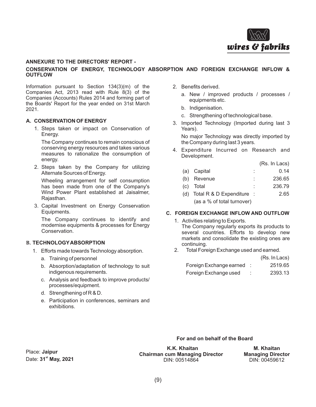

#### **ANNEXURE TO THE DIRECTORS' REPORT -**

#### **CONSERVATION OF ENERGY, TECHNOLOGY ABSORPTION AND FOREIGN EXCHANGE INFLOW & OUTFLOW**

Information pursuant to Section 134(3)(m) of the Companies Act, 2013 read with Rule  $\hat{8}(3)$  of the Companies (Accounts) Rules 2014 and forming part of the Boards' Report for the year ended on 31st March 2021.

#### **A. CONSERVATION OF ENERGY**

1. Steps taken or impact on Conservation of Energy.

The Company continues to remain conscious of conserving energy resources and takes various measures to rationalize the consumption of energy.

2. Steps taken by the Company for utilizing Alternate Sources of Energy.

Wheeling arrangement for self consumption has been made from one of the Company's Wind Power Plant established at Jaisalmer, Rajasthan.

3. Capital Investment on Energy Conservation Equipments.

The Company continues to identify and modernise equipments & processes for Energy Conservation.

#### **B. TECHNOLOGY ABSORPTION**

- 1. Efforts made towards Technology absorption.
	- a. Training of personnel
	- b. Absorption/adaptation of technology to suit indigenous requirements.
	- c. Analysis and feedback to improve products/ processes/equipment.
	- d. Strengthening of R & D.
	- e. Participation in conferences, seminars and exhibitions.
- 2. Benefits derived.
	- a. New / improved products / processes / equipments etc.
	- b. Indigenisation.
	- c. Strengthening of technological base.
- 3. Imported Technology (Imported during last 3 Years).

No major Technology was directly imported by the Company during last 3 years.

4. Expenditure Incurred on Research and Development.

|     |                               |   | (Rs. In Lacs) |
|-----|-------------------------------|---|---------------|
|     | (a) Capital                   | ÷ | 0.14          |
|     | (b) Revenue                   | ÷ | 236.65        |
| (c) | Total                         | ٠ | 236.79        |
|     | (d) Total R & D Expenditure : |   | 2.65          |
|     | (as a % of total turnover)    |   |               |

#### **C. FOREIGN EXCHANGE INFLOW AND OUTFLOW**

- 1. Activities relating to Exports. The Company regularly exports its products to several countries. Efforts to develop new markets and consolidate the existing ones are continuing.
- 2. Total Foreign Exchange used and earned.

|                         | (Rs. In Lacs) |
|-------------------------|---------------|
| Foreign Exchange earned | 2519.65       |
| Foreign Exchange used   | 2393.13       |

**For and on behalf of the Board**

 **K.K. Khaitan Chairman cum Managing Director** DIN: 00514864

**M. Khaitan Managing Director** DIN: 00459612

Place: **Jaipur st** Date: **31 May, 2021**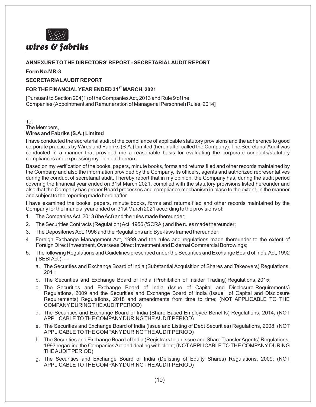

#### **ANNEXURE TO THE DIRECTORS' REPORT - SECRETARIAL AUDIT REPORT**

#### **Form No.MR-3**

#### **SECRETARIAL AUDIT REPORT**

#### **FOR THE FINANCIAL YEAR ENDED 31<sup>ST</sup> MARCH, 2021**

[Pursuant to Section 204(1) of the Companies Act, 2013 and Rule 9 of the Companies (Appointment and Remuneration of Managerial Personnel) Rules, 2014]

To,

#### The Members,

#### **Wires and Fabriks (S.A.) Limited**

I have conducted the secretarial audit of the compliance of applicable statutory provisions and the adherence to good corporate practices by Wires and Fabriks (S.A.) Limited (hereinafter called the Company). The Secretarial Audit was conducted in a manner that provided me a reasonable basis for evaluating the corporate conducts/statutory compliances and expressing my opinion thereon.

Based on my verification of the books, papers, minute books, forms and returns filed and other records maintained by the Company and also the information provided by the Company, its officers, agents and authorized representatives during the conduct of secretarial audit, I hereby report that in my opinion, the Company has, during the audit period covering the financial year ended on 31st March 2021, complied with the statutory provisions listed hereunder and also that the Company has proper Board processes and compliance mechanism in place to the extent, in the manner and subject to the reporting made hereinafter.

I have examined the books, papers, minute books, forms and returns filed and other records maintained by the Company for the financial year ended on 31st March 2021 according to the provisions of**:**

- 1. The Companies Act, 2013 (the Act) and the rules made thereunder;
- 2. The Securities Contracts (Regulation) Act, 1956 ('SCRA') and the rules made thereunder;
- 3. The Depositories Act, 1996 and the Regulations and Bye-laws framed thereunder;
- 4. Foreign Exchange Management Act, 1999 and the rules and regulations made thereunder to the extent of Foreign Direct Investment, Overseas Direct Investment and External Commercial Borrowings;
- 5. The following Regulations and Guidelines prescribed under the Securities and Exchange Board of India Act, 1992 ('SEBI Act'):
	- a. The Securities and Exchange Board of India (Substantial Acquisition of Shares and Takeovers) Regulations, 2011;
	- b. The Securities and Exchange Board of India (Prohibition of Insider Trading) Regulations, 2015;
	- c. The Securities and Exchange Board of India (Issue of Capital and Disclosure Requirements) Regulations, 2009 and the Securities and Exchange Board of India (Issue of Capital and Disclosure Requirements) Regulations, 2018 and amendments from time to time; (NOT APPLICABLE TO THE COMPANY DURING THE AUDIT PERIOD)
	- d. The Securities and Exchange Board of India (Share Based Employee Benefits) Regulations, 2014; (NOT APPLICABLE TO THE COMPANY DURING THE AUDIT PERIOD)
	- e. The Securities and Exchange Board of India (Issue and Listing of Debt Securities) Regulations, 2008; (NOT APPLICABLE TO THE COMPANY DURING THE AUDIT PERIOD)
	- f. The Securities and Exchange Board of India (Registrars to an Issue and Share Transfer Agents) Regulations, 1993 regarding the Companies Act and dealing with client; (NOT APPLICABLE TO THE COMPANY DURING THE AUDIT PERIOD)
	- g. The Securities and Exchange Board of India (Delisting of Equity Shares) Regulations, 2009; (NOT APPLICABLE TO THE COMPANY DURING THE AUDIT PERIOD)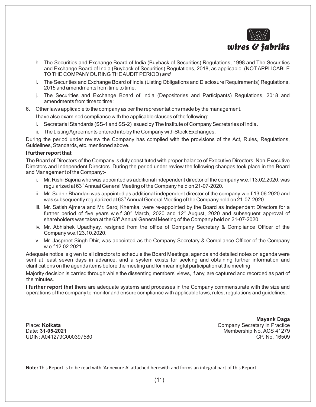

- h. The Securities and Exchange Board of India (Buyback of Securities) Regulations, 1998 and The Securities and Exchange Board of India (Buyback of Securities) Regulations, 2018, as applicable. (NOT APPLICABLE TO THE COMPANY DURING THE AUDIT PERIOD) *and*
- i. The Securities and Exchange Board of India (Listing Obligations and Disclosure Requirements) Regulations, 2015 and amendments from time to time.
- j. The Securities and Exchange Board of India (Depositories and Participants) Regulations, 2018 and amendments from time to time:

#### 6. Other laws applicable to the company as per the representations made by the management.

I have also examined compliance with the applicable clauses of the following:

- i. Secretarial Standards (SS-1 and SS-2) issued by The Institute of Company Secretaries of India**.**
- ii. The Listing Agreements entered into by the Company with Stock Exchanges.

During the period under review the Company has complied with the provisions of the Act, Rules, Regulations, Guidelines, Standards, etc. mentioned above.

#### **I further report that**

The Board of Directors of the Company is duly constituted with proper balance of Executive Directors, Non-Executive Directors and Independent Directors. During the period under review the following changes took place in the Board and Management of the Company:-

- i. Mr. Rishi Bajoria who was appointed as additional independent director of the company w.e.f 13.02.2020, was regularized at  $63<sup>rd</sup>$  Annual General Meeting of the Company held on 21-07-2020.
- ii. Mr. Sudhir Bhandari was appointed as additional independent director of the company w.e.f 13.06.2020 and was subsequently regularized at 63<sup>rd</sup> Annual General Meeting of the Company held on 21-07-2020.
- iii. Mr. Satish Ajmera and Mr. Saroj Khemka, were re-appointed by the Board as Independent Directors for a further period of five years w.e.f  $30<sup>th</sup>$  March, 2020 and  $12<sup>th</sup>$  August, 2020 and subsequent approval of shareholders was taken at the 63 $^{\circ}$ Annual General Meeting of the Company held on 21-07-2020.
- iv. Mr. Abhishek Upadhyay, resigned from the office of Company Secretary & Compliance Officer of the Company w.e.f 23.10.2020.
- v. Mr. Jaspreet Singh Dhir, was appointed as the Company Secretary & Compliance Officer of the Company w.e.f 12.02.2021.

Adequate notice is given to all directors to schedule the Board Meetings, agenda and detailed notes on agenda were sent at least seven days in advance, and a system exists for seeking and obtaining further information and clarifications on the agenda items before the meeting and for meaningful participation at the meeting.

Majority decision is carried through while the dissenting members' views, if any, are captured and recorded as part of the minutes.

**I further report that** there are adequate systems and processes in the Company commensurate with the size and operations of the company to monitor and ensure compliance with applicable laws, rules, regulations and guidelines.

Place: **Kolkata** Date: **31-05-2021**  UDIN: A041279C000397580

**Mayank Daga** Company Secretary in Practice Membership No. ACS 41279 CP. No. 16509

**Note:** This Report is to be read with 'Annexure A' attached herewith and forms an integral part of this Report.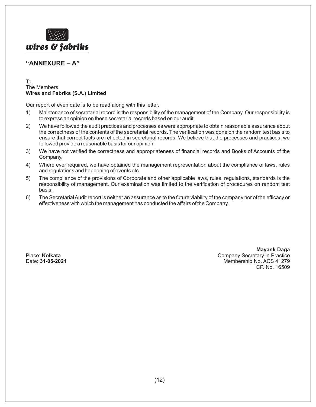

### **"ANNEXURE – A"**

#### To, The Members **Wires and Fabriks (S.A.) Limited**

Our report of even date is to be read along with this letter.

- 1) Maintenance of secretarial record is the responsibility of the management of the Company. Our responsibility is to express an opinion on these secretarial records based on our audit.
- 2) We have followed the audit practices and processes as were appropriate to obtain reasonable assurance about the correctness of the contents of the secretarial records. The verification was done on the random test basis to ensure that correct facts are reflected in secretarial records. We believe that the processes and practices, we followed provide a reasonable basis for our opinion.
- 3) We have not verified the correctness and appropriateness of financial records and Books of Accounts of the Company.
- 4) Where ever required, we have obtained the management representation about the compliance of laws, rules and regulations and happening of events etc.
- 5) The compliance of the provisions of Corporate and other applicable laws, rules, regulations, standards is the responsibility of management. Our examination was limited to the verification of procedures on random test basis.
- 6) The Secretarial Audit report is neither an assurance as to the future viability of the company nor of the efficacy or effectiveness with which the management has conducted the affairs of the Company.

Place: **Kolkata** Date: **31-05-2021** 

**Mayank Daga** Company Secretary in Practice Membership No. ACS 41279 CP. No. 16509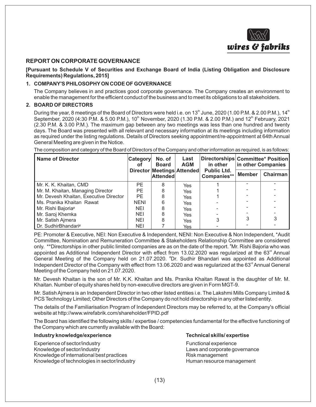

#### **REPORT ON CORPORATE GOVERNANCE**

**[Pursuant to Schedule V of Securities and Exchange Board of India (Listing Obligation and Disclosure Requirements) Regulations, 2015]**

#### **1. COMPANY'S PHILOSOPHY ON CODE OF GOVERNANCE**

The Company believes in and practices good corporate governance. The Company creates an environment to enable the management for the efficient conduct of the business and to meet its obligations to all stakeholders.

#### **2. BOARD OF DIRECTORS**

During the year, 8 meetings of the Board of Directors were held i.e. on 13<sup>th</sup> June, 2020 (1.00 P.M. & 2.00 P.M.), 14<sup>th</sup> September, 2020 (4:30 P.M. & 5.00 P.M.), 10<sup>th</sup> November, 2020 (1.30 P.M. & 2.00 P.M.) and 12<sup>th</sup> February, 2021 (2.30 P.M. & 3.00 P.M.). The maximum gap between any two meetings was less than one hundred and twenty days. The Board was presented with all relevant and necessary information at its meetings including information as required under the listing regulations. Details of Directors seeking appointment/re-appointment at 64th Annual General Meeting are given in the Notice.

The composition and category of the Board of Directors of the Company and other information as required, is as follows:

| <b>Name of Director</b>                | <b>Category</b><br>οf | No. of<br><b>Board</b> | Last<br><b>AGM</b>         | in other                          | Directorships Committee* Position<br>in other Companies |                 |
|----------------------------------------|-----------------------|------------------------|----------------------------|-----------------------------------|---------------------------------------------------------|-----------------|
|                                        |                       | <b>Attended</b>        | Director Meetings Attended | <b>Public Ltd.</b><br>Companies** | Member                                                  | <b>Chairman</b> |
| Mr. K. K. Khaitan, CMD                 | PF                    | 8                      | Yes                        |                                   |                                                         |                 |
| Mr. M. Khaitan, Managing Director      | <b>PF</b>             | 8                      | Yes                        |                                   |                                                         |                 |
| Mr. Devesh Khaitan, Executive Director | PF                    | 8                      | Yes                        |                                   |                                                         |                 |
| Ms. Pranika Khaitan Rawat              | <b>NENI</b>           | 6                      | Yes                        |                                   |                                                         |                 |
| Mr. Rishi Bajoria#                     | <b>NEI</b>            | 8                      | Yes                        |                                   |                                                         |                 |
| Mr. Saroj Khemka                       | <b>NEI</b>            | 8                      | Yes                        |                                   |                                                         |                 |
| Mr. Satish Ajmera                      | <b>NEI</b>            | 8                      | Yes                        |                                   | 3                                                       | 3               |
| Dr. SudhirBhandari#                    | <b>NEI</b>            |                        | Yes                        |                                   |                                                         |                 |

PE: Promoter & Executive, NEI: Non Executive & Independent, NENI: Non Executive & Non Independent, \*Audit Committee, Nomination and Remuneration Committee & Stakeholders Relationship Committee are considered only. \*\*Directorships in other public limited companies are as on the date of the report. "Mr. Rishi Bajoria who was appointed as Additional Independent Director with effect from 13.02.2020 was regularized at the  $63<sup>rd</sup>$  Annual General Meeting of the Company held on 21.07.2020. "Dr. Sudhir Bhandari was appointed as Additional Independent Director of the Company with effect from 13.06.2020 and was regularized at the 63 $^{\circ}$ Annual General Meeting of the Company held on 21.07.2020.

Mr. Devesh Khaitan is the son of Mr. K.K. Khaitan and Ms. Pranika Khaitan Rawat is the daughter of Mr. M. Khaitan. Number of equity shares held by non-executive directors are given in Form MGT-9.

Mr. Satish Ajmera is an Independent Director in two other listed entities i.e. The Lakshmi Mills Company Limited & PCS Technology Limited; Other Directors of the Company do not hold directorship in any other listed entity.

The details of the Familiarisation Program of Independent Directors may be referred to, at the Company's official website at http://www.wirefabrik.com/shareholder/FPID.pdf

The Board has identified the following skills / expertise / competencies fundamental for the effective functioning of the Company which are currently available with the Board:

#### **Industry knowledge/experience Technical skills/ expertise**

Experience of sector/industry<br>
Knowledge of sector/industry<br>
Knowledge of sector/industry<br>
Text Sector Annual Experience and corporate go Knowledge of international best practices<br>
Knowledge of technologies in sector/industry<br>
Human resource management Knowledge of technologies in sector/industry

Laws and corporate governance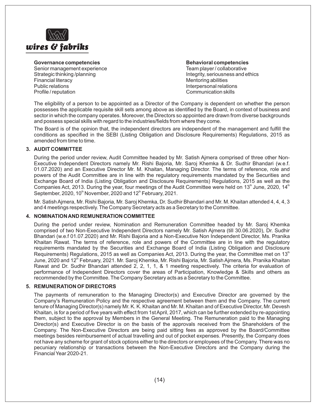

**Governance competencies**<br> **Governance competencies**<br> **Behavioral competencies**<br> **Behavioral competencies**<br> **Behavioral competencies**<br> **Behavioral competencies** Senior management experience Financial literacy and the contract of the matter of the Mentoring abilities Public relations of the Mentoring abilities of the Mentoring abilities Public relations of the Mentoring abilities of the Mentoring abilities of Public relations **Interpersonal relations**<br>
Profile / reputation **Interpersonal relations**<br>
Communication skills

Strategic thinking /planning<br>
Financial literacy<br>
Financial literacy Communication skills

The eligibility of a person to be appointed as a Director of the Company is dependent on whether the person possesses the applicable requisite skill sets among above as identified by the Board, in context of business and sector in which the company operates. Moreover, the Directors so appointed are drawn from diverse backgrounds and possess special skills with regard to the industries/fields from where they come.

The Board is of the opinion that, the independent directors are independent of the management and fulfill the conditions as specified in the SEBI (Listing Obligation and Disclosure Requirements) Regulations, 2015 as amended from time to time.

#### **3. AUDIT COMMITTEE**

During the period under review, Audit Committee headed by Mr. Satish Ajmera comprised of three other Non-Executive Independent Directors namely Mr. Rishi Bajoria, Mr. Saroj Khemka & Dr. Sudhir Bhandari (w.e.f. 01.07.2020) and an Executive Director Mr. M. Khaitan, Managing Director. The terms of reference, role and powers of the Audit Committee are in line with the regulatory requirements mandated by the Securities and Exchange Board of India (Listing Obligation and Disclosure Requirements) Regulations, 2015 as well as the Companies Act, 2013. During the year, four meetings of the Audit Committee were held on 13<sup>th</sup> June, 2020, 14<sup>th</sup> September, 2020, 10<sup>th</sup> November, 2020 and 12<sup>th</sup> February, 2021.

Mr. Satish Ajmera, Mr. Rishi Bajoria, Mr. Saroj Khemka, Dr. Sudhir Bhandari and Mr. M. Khaitan attended 4, 4, 4, 3 and 4 meetings respectively. The Company Secretary acts as a Secretary to the Committee.

#### **4. NOMINATION AND REMUNERATION COMMITTEE**

During the period under review, Nomination and Remuneration Committee headed by Mr. Saroj Khemka comprised of two Non-Executive Independent Directors namely Mr. Satish Ajmera (till 30.06.2020), Dr. Sudhir Bhandari (w.e.f 01.07.2020) and Mr. Rishi Bajoria and a Non-Executive Non Independent Director, Ms. Pranika Khaitan Rawat. The terms of reference, role and powers of the Committee are in line with the regulatory requirements mandated by the Securities and Exchange Board of India (Listing Obligation and Disclosure Requirements) Requlations, 2015 as well as Companies Act, 2013. During the year, the Committee met on  $13<sup>th</sup>$ June, 2020 and 12<sup>th</sup> February, 2021. Mr. Saroj Khemka, Mr. Rishi Bajoria, Mr. Satish Ajmera, Ms. Pranika Khaitan Rawat and Dr. Sudhir Bhandari attended 2, 2, 1, 1, & 1 meeting respectively. The criteria for evaluation of performance of Independent Directors cover the areas of Participation, Knowledge & Skills and others as recommended by the Committee. The Company Secretary acts as a Secretary to the Committee.

#### **5. REMUNERATION OF DIRECTORS**

The payments of remuneration to the Managing Director(s) and Executive Director are governed by the Company's Remuneration Policy and the respective agreement between them and the Company. The current tenure of Managing Director(s) namely Mr. K. K. Khaitan and Mr. M. Khaitan and of Executive Director, Mr. Devesh Khaitan, is for a period of five years with effect from 1st April, 2017, which can be further extended by re-appointing them, subject to the approval by Members in the General Meeting. The Remuneration paid to the Managing Director(s) and Executive Director is on the basis of the approvals received from the Shareholders of the Company. The Non-Executive Directors are being paid sitting fees as approved by the Board/Committee meetings besides reimbursement of actual travelling and out of pocket expenses. Presently, the Company does not have any scheme for grant of stock options either to the directors or employees of the Company. There was no pecuniary relationship or transactions between the Non-Executive Directors and the Company during the Financial Year 2020-21.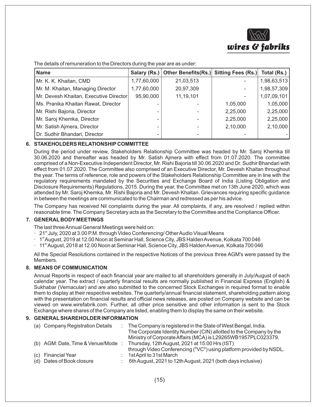

| The details of remuneration to the Directors during the year are as under: |  |
|----------------------------------------------------------------------------|--|
|----------------------------------------------------------------------------|--|

| <b>Name</b>                            |                          | Salary (Rs.) Other Benefits (Rs.) Sitting Fees (Rs.) |          | Total (Rs.) |
|----------------------------------------|--------------------------|------------------------------------------------------|----------|-------------|
| Mr. K. K. Khaitan, CMD                 | 1,77,60,000              | 21,03,513                                            |          | 1,98,63,513 |
| Mr. M. Khaitan, Managing Director      | 1,77,60,000              | 20,97,309                                            |          | 1,98,57,309 |
| Mr. Devesh Khaitan, Executive Director | 95,90,000                | 11, 19, 101                                          |          | 1,07,09,101 |
| Ms. Pranika Khaitan Rawat, Director    |                          |                                                      | 1,05,000 | 1,05,000    |
| Mr. Rishi Bajoria, Director            |                          |                                                      | 2,25,000 | 2,25,000    |
| Mr. Saroj Khemka, Director             |                          |                                                      | 2,25,000 | 2,25,000    |
| Mr. Satish Ajmera, Director            |                          |                                                      | 2,10,000 | 2,10,000    |
| Dr. Sudhir Bhandari, Director          | $\overline{\phantom{0}}$ |                                                      |          |             |

#### **6. STAKEHOLDERS RELATIONSHIP COMMITTEE**

During the period under review, Stakeholders Relationship Committee was headed by Mr. Saroj Khemka till 30.06.2020 and thereafter was headed by Mr. Satish Ajmera with effect from 01.07.2020. The committee comprised of a Non-Executive Independent Director, Mr. Rishi Bajoria till 30.06.2020 and Dr. Sudhir Bhandari with effect from 01.07.2020. The Committee also comprised of an Executive Director, Mr. Devesh Khaitan throughout the year. The terms of reference, role and powers of the Stakeholders Relationship Committee are in line with the regulatory requirements mandated by the Securities and Exchange Board of India (Listing Obligation and Disclosure Requirements) Regulations, 2015. During the year, the Committee met on 13th June 2020, which was attended by Mr. Saroj Khemka, Mr. Rishi Bajoria and Mr. Devesh Khaitan. Grievances requiring specific guidance in between the meetings are communicated to the Chairman and redressed as per his advice.

The Company has received Nil complaints during the year. All complaints, if any, are resolved / replied within reasonable time. The Company Secretary acts as the Secretary to the Committee and the Compliance Officer.

#### **7. GENERAL BODY MEETINGS**

The last three Annual General Meetings were held on:

- 21<sup>st</sup> July, 2020 at 3.00 P.M. through Video Conferencing/ Other Audio Visual Means
- 1<sup>st</sup> August, 2019 at 12.00 Noon at Seminar Hall, Science City, JBS Halden Avenue, Kolkata 700 046
- $t$  11  $\textdegree$  August, 2018 at 12.00 Noon at Seminar Hall, Science City, JBS Halden Avenue, Kolkata 700 046

All the Special Resolutions contained in the respective Notices of the previous three AGM's were passed by the Members.

#### **8. MEANS OF COMMUNICATION**

Annual Reports in respect of each financial year are mailed to all shareholders generally in July/August of each calendar year. The extract / quarterly financial results are normally published in Financial Express (English) & Sukhabar (Vernacular) and are also submitted to the concerned Stock Exchanges in required format to enable them to display at their respective websites. The quarterly/annual financial statement, shareholding pattern along with the presentation on financial results and official news releases, are posted on Company website and can be viewed on www.wirefabrik.com. Further, all other price sensitive and other information is sent to the Stock Exchange where shares of the Company are listed, enabling them to display the same on their website.

#### **9. GENERAL SHAREHOLDER INFORMATION**

| (a) Company Registration Details                | $\therefore$ The Company is registered in the State of West Bengal, India.<br>The Corporate Identity Number (CIN) allotted to the Company by the<br>Ministry of Corporate Affairs (MCA) is L29265WB1957PLC023379. |
|-------------------------------------------------|-------------------------------------------------------------------------------------------------------------------------------------------------------------------------------------------------------------------|
| (b) AGM: Date, Time & Venue/Mode:               | Thursday, 12th August, 2021 at 15:00 Hrs (IST)<br>through Video Conferencing ("VC") using platform provided by NSDL.                                                                                              |
| (c) Financial Year<br>(d) Dates of Book closure | 1st April to 31st March<br>6th August, 2021 to 12th August, 2021 (both days inclusive)                                                                                                                            |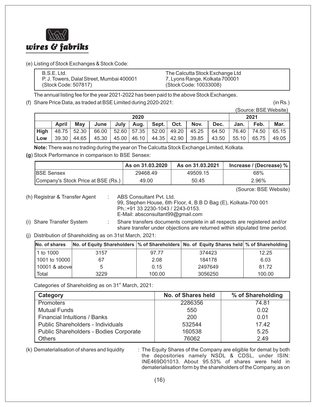

#### (e) Listing of Stock Exchanges & Stock Code:

| B.S.E. Ltd.                               | The Calcutta Stock Exchange Ltd |
|-------------------------------------------|---------------------------------|
| P. J. Towers. Dalal Street. Mumbai 400001 | 7, Lyons Range, Kolkata 700001  |
| (Stock Code: 507817)                      | (Stock Code: 10033008)          |

The annual listing fee for the year 2021-2022 has been paid to the above Stock Exchanges.

(f) Share Price Data, as traded at BSE Limited during 2020-2021: (in Rs.)

|      |       |             |       |                  |          |                               |                       |       |       |       | (Source: BSE Website) |       |
|------|-------|-------------|-------|------------------|----------|-------------------------------|-----------------------|-------|-------|-------|-----------------------|-------|
| 2020 |       |             |       |                  |          |                               |                       |       |       | 2021  |                       |       |
|      | April | Mav         | June  | Julv             | ∣ Aug. I | Sept.   Oct.                  |                       | Nov.  | Dec.  | Jan.  | Feb.                  | Mar.  |
| Hiah |       | 48.75 52.30 | 66.00 |                  |          | 52.60   57.35   52.00   49.20 |                       | 45.25 | 64.50 | 76.40 | 74.50                 | 65.15 |
| Low  | 39.30 | 44.65       | 45.30 | $145.00$   46.10 |          |                               | 44.35   42.90   39.85 |       | 43.50 | 55.10 | 65.75                 | 49.05 |

**Note:** There was no trading during the year on The Calcutta Stock Exchange Limited, Kolkata.

**(g**) Stock Performance in comparison to BSE Sensex:

|                                    | $\overline{ }$ As on 31.03.2020 | As on 31.03.2021 | Increase / (Decrease) % |
|------------------------------------|---------------------------------|------------------|-------------------------|
| <b>IBSE Sensex</b>                 | 29468.49                        | 49509.15         | 68%                     |
| Company's Stock Price at BSE (Rs.) | 49.00                           | 50.45            | 2.96%                   |

(Source: BSE Website)

(h) Registrar & Transfer Agent : ABS Consultant Pvt. Ltd.

99, Stephen House, 6th Floor, 4, B.B D Bag (E), Kolkata-700 001 Ph.:+91 33 2230-1043 / 2243-0153. E-Mail: absconsultant99@gmail.com

- (i) Share Transfer System : Share transfers documents complete in all respects are registered and/or share transfer under objections are returned within stipulated time period.
- (j) Distribution of Shareholding as on 31st March, 2021:

| No. of shares     | No. of Equity Shareholders $\frac{9}{6}$ of Shareholders No. of Equity Shares held \% of Shareholding |        |         |        |
|-------------------|-------------------------------------------------------------------------------------------------------|--------|---------|--------|
| 11 to 1000        | 3157                                                                                                  | 97.77  | 374423  | 12.25  |
| l 1001 to 10000 l | 67                                                                                                    | 2.08   | 184178  | 6.03   |
| 10001 & above     |                                                                                                       | 0.15   | 2497649 | 81.72  |
| Total             | 3229                                                                                                  | 100.00 | 3056250 | 100.00 |

Categories of Shareholding as on 31<sup>st</sup> March, 2021:

| Category                               | No. of Shares held | % of Shareholding |
|----------------------------------------|--------------------|-------------------|
| <b>Promoters</b>                       | 2286356            | 74.81             |
| <b>Mutual Funds</b>                    | 550                | 0.02              |
| Financial Intuitions / Banks           | 200                | 0.01              |
| Public Shareholders - Individuals      | 532544             | 17.42             |
| Public Shareholders - Bodies Corporate | 160538             | 5.25              |
| <b>Others</b>                          | 76062              | 2.49              |

(k) Dematerialisation of shares and liquidity : The Equity Shares of the Company are eligible for demat by both the depositories namely NSDL & CDSL, under ISIN: INE469D01013. About 95.53% of shares were held in dematerialisation form by the shareholders of the Company, as on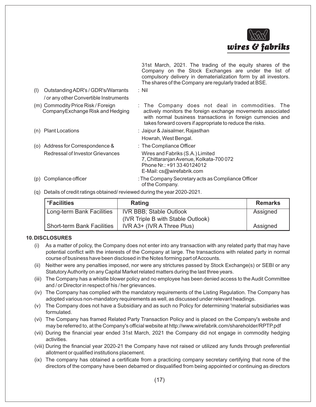

|     |                                                                              | 31st March, 2021. The trading of the equity shares of the<br>Company on the Stock Exchanges are under the list of<br>compulsory delivery in dematerialization form by all investors.<br>The shares of the Company are regularly traded at BSE. |
|-----|------------------------------------------------------------------------------|------------------------------------------------------------------------------------------------------------------------------------------------------------------------------------------------------------------------------------------------|
| (1) | Outstanding ADR's / GDR's/Warrants<br>/ or any other Convertible Instruments | : Nil                                                                                                                                                                                                                                          |
|     | (m) Commodity Price Risk/Foreign<br>CompanyExchange Risk and Hedging         | : The Company does not deal in commodities. The<br>actively monitors the foreign exchange movements associated<br>with normal business transactions in foreign currencies and<br>takes forward covers if appropriate to reduce the risks.      |
|     | (n) Plant Locations                                                          | : Jaipur & Jaisalmer, Rajasthan                                                                                                                                                                                                                |
|     |                                                                              | Howrah, West Bengal.                                                                                                                                                                                                                           |
|     | (o) Address for Correspondence &                                             | : The Compliance Officer                                                                                                                                                                                                                       |
|     | Redressal of Investor Grievances                                             | Wires and Fabriks (S.A.) Limited<br>7, Chittaranjan Avenue, Kolkata-700 072<br>Phone Nr.: +91 33 40124012<br>E-Mail: cs@wirefabrik.com                                                                                                         |
| (p) | Compliance officer                                                           | : The Company Secretary acts as Compliance Officer<br>of the Company.                                                                                                                                                                          |
|     | .                                                                            |                                                                                                                                                                                                                                                |

(q) Details of credit ratings obtained/ reviewed during the year 2020-2021.

| *Facilities                       | <b>Rating</b>                      | <b>Remarks</b> |
|-----------------------------------|------------------------------------|----------------|
| Long-term Bank Facilities         | <b>IVR BBB; Stable Outlook</b>     | Assigned       |
|                                   | (IVR Triple B with Stable Outlook) |                |
| <b>Short-term Bank Facilities</b> | IVR A3+ (IVR A Three Plus)         | Assigned       |

#### **10.DISCLOSURES**

- (i) As a matter of policy, the Company does not enter into any transaction with any related party that may have potential conflict with the interests of the Company at large. The transactions with related party in normal course of business have been disclosed in the Notes forming part of Accounts.
- (ii) Neither were any penalties imposed, nor were any strictures passed by Stock Exchange(s) or SEBI or any Statutory Authority on any Capital Market related matters during the last three years.
- (iii) The Company has a whistle blower policy and no employee has been denied access to the Audit Committee and / or Director in respect of his / her grievances.
- (iv) The Company has complied with the mandatory requirements of the Listing Regulation. The Company has adopted various non-mandatory requirements as well, as discussed under relevant headings.
- (v) The Company does not have a Subsidiary and as such no Policy for determining 'material subsidiaries was formulated.
- (vi) The Company has framed Related Party Transaction Policy and is placed on the Company's website and may be referred to, at the Company's official website at http://www.wirefabrik.com/shareholder/RPTP.pdf
- (vii) During the financial year ended 31st March, 2021 the Company did not engage in commodity hedging activities.
- (viii) During the financial year 2020-21 the Company have not raised or utilized any funds through preferential allotment or qualified institutions placement.
- (ix) The company has obtained a certificate from a practicing company secretary certifying that none of the directors of the company have been debarred or disqualified from being appointed or continuing as directors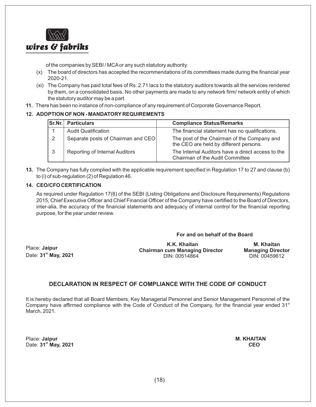

of the companies by SEBI / MCA or any such statutory authority.

- (x) The board of directors has accepted the recommendations of its committees made during the financial year 2020-21.
- (xi) The Company has paid total fees of Rs. 2.71 lacs to the statutory auditors towards all the services rendered by them, on a consolidated basis. No other payments are made to any network firm/ network entity of which the statutory auditor may be a part.
- **11.** There has been no instance of non-compliance of any requirement of Corporate Governance Report.

#### **12. ADOPTION OF NON - MANDATORY REQUIREMENTS**

|                | <b>Sr.Nr.</b> Particulars          | <b>Compliance Status/Remarks</b>                                                      |
|----------------|------------------------------------|---------------------------------------------------------------------------------------|
|                | <b>Audit Qualification</b>         | The financial statement has no qualifications.                                        |
| $\overline{2}$ | Separate posts of Chairman and CEO | The post of the Chairman of the Company and<br>the CEO are held by different persons. |
| 3              | Reporting of Internal Auditors     | The Internal Auditors have a direct access to the<br>Chairman of the Audit Committee  |

**13.** The Company has fully complied with the applicable requirement specified in Regulation 17 to 27 and clause (b) to (i) of sub-regulation (2) of Regulation 46.

#### **14. CEO/CFO CERTIFICATION**

As required under Regulation 17(8) of the SEBI (Listing Obligations and Disclosure Requirements) Regulations 2015, Chief Executive Officer and Chief Financial Officer of the Company have certified to the Board of Directors, inter-alia, the accuracy of the financial statements and adequacy of internal control for the financial reporting purpose, for the year under review.

#### **For and on behalf of the Board**

Place: **Jaipur st** Date: **31 May, 2021**

 **K.K. Khaitan Chairman cum Managing Director** DIN: 00514864

**M. Khaitan Managing Director** DIN: 00459612

#### **DECLARATION IN RESPECT OF COMPLIANCE WITH THE CODE OF CONDUCT**

It is hereby declared that all Board Members, Key Managerial Personnel and Senior Management Personnel of the Company have affirmed compliance with the Code of Conduct of the Company, for the financial year ended 31<sup>st</sup> March, 2021.

Place: **Jaipur M. KHAITAN State:** 31<sup>st</sup> May, 2021 **CEO**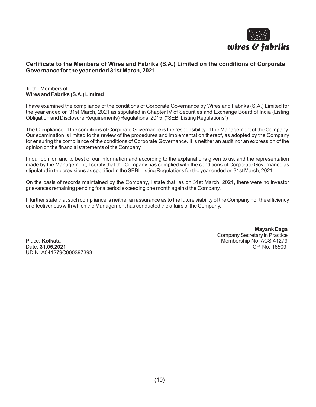

#### **Certificate to the Members of Wires and Fabriks (S.A.) Limited on the conditions of Corporate Governance for the year ended 31st March, 2021**

#### To the Members of **Wires and Fabriks (S.A.) Limited**

I have examined the compliance of the conditions of Corporate Governance by Wires and Fabriks (S.A.) Limited for the year ended on 31st March, 2021 as stipulated in Chapter IV of Securities and Exchange Board of India (Listing Obligation and Disclosure Requirements) Regulations, 2015. ("SEBI Listing Regulations")

The Compliance of the conditions of Corporate Governance is the responsibility of the Management of the Company. Our examination is limited to the review of the procedures and implementation thereof, as adopted by the Company for ensuring the compliance of the conditions of Corporate Governance. It is neither an audit nor an expression of the opinion on the financial statements of the Company.

In our opinion and to best of our information and according to the explanations given to us, and the representation made by the Management, I certify that the Company has complied with the conditions of Corporate Governance as stipulated in the provisions as specified in the SEBI Listing Regulations for the year ended on 31st March, 2021.

On the basis of records maintained by the Company, I state that, as on 31st March, 2021, there were no investor grievances remaining pending for a period exceeding one month against the Company.

I, further state that such compliance is neither an assurance as to the future viability of the Company nor the efficiency or effectiveness with which the Management has conducted the affairs of the Company.

Date: 31.05.2021 UDIN: A041279C000397393

**Mayank Daga** Company Secretary in Practice Place: **Kolkata** Membership No. ACS 41279<br>Date: **31.05.2021** Membership No. ACS 41279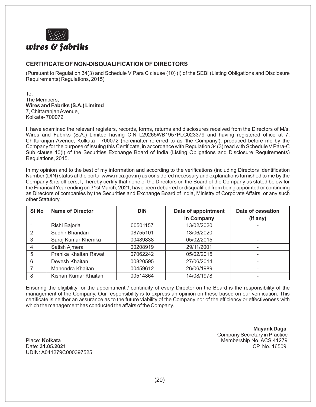

#### **CERTIFICATE OF NON-DISQUALIFICATION OF DIRECTORS**

(Pursuant to Regulation 34(3) and Schedule V Para C clause (10) (i) of the SEBI (Listing Obligations and Disclosure Requirements) Regulations, 2015)

To, The Members, **Wires and Fabriks (S.A.) Limited** 7, Chittaranjan Avenue, Kolkata- 700072

I, have examined the relevant registers, records, forms, returns and disclosures received from the Directors of M/s. Wires and Fabriks (S.A.) Limited having CIN L29265WB1957PLC023379 and having registered office at 7, Chittaranjan Avenue, Kolkata - 700072 (hereinafter referred to as 'the Company'), produced before me by the Company for the purpose of issuing this Certificate, in accordance with Regulation 34(3) read with Schedule V Para-C Sub clause 10(i) of the Securities Exchange Board of India (Listing Obligations and Disclosure Requirements) Regulations, 2015.

In my opinion and to the best of my information and according to the verifications (including Directors Identification Number (DIN) status at the portal www.mca.gov.in) as considered necessary and explanations furnished to me by the Company & its officers, I, hereby certify that none of the Directors on the Board of the Company as stated below for the Financial Year ending on 31st March, 2021, have been debarred or disqualified from being appointed or continuing as Directors of companies by the Securities and Exchange Board of India, Ministry of Corporate Affairs, or any such other Statutory.

| SI <sub>No</sub> | Name of Director      | <b>DIN</b> | Date of appointment | Date of cessation |  |
|------------------|-----------------------|------------|---------------------|-------------------|--|
|                  |                       |            | in Company          | (i f any)         |  |
|                  | Rishi Bajoria         | 00501157   | 13/02/2020          |                   |  |
| 2                | Sudhir Bhandari       | 08755101   | 13/06/2020          |                   |  |
| 3                | Saroj Kumar Khemka    | 00489838   | 05/02/2015          |                   |  |
|                  | Satish Ajmera         | 00208919   | 29/11/2001          |                   |  |
| 5                | Pranika Khaitan Rawat | 07062242   | 05/02/2015          |                   |  |
| 6                | Devesh Khaitan        | 00820595   | 27/06/2014          |                   |  |
|                  | Mahendra Khaitan      | 00459612   | 26/06/1989          |                   |  |
| 8                | Kishan Kumar Khaitan  | 00514864   | 14/08/1978          |                   |  |

Ensuring the eligibility for the appointment / continuity of every Director on the Board is the responsibility of the management of the Company. Our responsibility is to express an opinion on these based on our verification. This certificate is neither an assurance as to the future viability of the Company nor of the efficiency or effectiveness with which the management has conducted the affairs of the Company.

Date: **31.05.2021** UDIN: A041279C000397525

**Mayank Daga** Company Secretary in Practice Place: **Kolkata** Membership No. ACS 41279<br>Date: **31.05.2021** Membership No. ACS 41279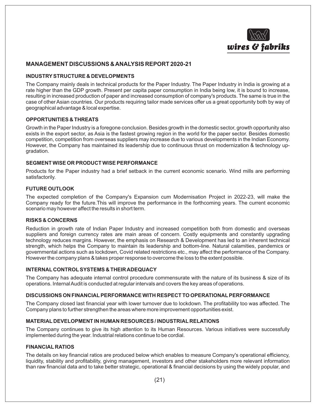

#### **MANAGEMENT DISCUSSIONS & ANALYSIS REPORT 2020-21**

#### **INDUSTRY STRUCTURE & DEVELOPMENTS**

The Company mainly deals in technical products for the Paper Industry. The Paper Industry in India is growing at a rate higher than the GDP growth. Present per capita paper consumption in India being low, it is bound to increase, resulting in increased production of paper and increased consumption of company's products. The same is true in the case of other Asian countries. Our products requiring tailor made services offer us a great opportunity both by way of geographical advantage & local expertise.

#### **OPPORTUNITIES & THREATS**

Growth in the Paper Industry is a foregone conclusion. Besides growth in the domestic sector, growth opportunity also exists in the export sector, as Asia is the fastest growing region in the world for the paper sector. Besides domestic competition, competition from overseas suppliers may increase due to various developments in the Indian Economy. However, the Company has maintained its leadership due to continuous thrust on modernization & technology upgradation.

#### **SEGMENT WISE OR PRODUCT WISE PERFORMANCE**

Products for the Paper industry had a brief setback in the current economic scenario. Wind mills are performing satisfactorily.

#### **FUTURE OUTLOOK**

The expected completion of the Company's Expansion cum Modernisation Project in 2022-23, will make the Company ready for the future.This will improve the performance in the forthcoming years. The current economic scenario may however affect the results in short term.

#### **RISKS & CONCERNS**

Reduction in growth rate of Indian Paper Industry and increased competition both from domestic and overseas suppliers and foreign currency rates are main areas of concern. Costly equipments and constantly upgrading technology reduces margins. However, the emphasis on Research & Development has led to an inherent technical strength, which helps the Company to maintain its leadership and bottom-line. Natural calamities, pandemics or governmental actions such as lockdown, Covid related restrictions etc., may affect the performance of the Company. However the company plans & takes proper response to overcome the loss to the extent possible.

#### **INTERNAL CONTROL SYSTEMS & THEIR ADEQUACY**

The Company has adequate internal control procedure commensurate with the nature of its business & size of its operations. Internal Audit is conducted at regular intervals and covers the key areas of operations.

#### **DISCUSSIONS ON FINANCIAL PERFORMANCE WITH RESPECT TO OPERATIONAL PERFORMANCE**

The Company closed last financial year with lower turnover due to lockdown. The profitability too was affected. The Company plans to further strengthen the areas where more improvement opportunities exist.

#### **MATERIAL DEVELOPMENT IN HUMAN RESOURCES / INDUSTRIAL RELATIONS**

The Company continues to give its high attention to its Human Resources. Various initiatives were successfully implemented during the year. Industrial relations continue to be cordial.

#### **FINANCIAL RATIOS**

The details on key financial ratios are produced below which enables to measure Company's operational efficiency, liquidity, stability and profitability, giving management, investors and other stakeholders more relevant information than raw financial data and to take better strategic, operational & financial decisions by using the widely popular, and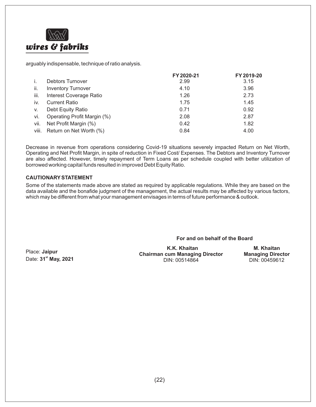

arguably indispensable, technique of ratio analysis.

|       |                             | FY 2020-21 | FY 2019-20 |
|-------|-----------------------------|------------|------------|
| i.    | Debtors Turnover            | 2.99       | 3.15       |
| ii.   | <b>Inventory Turnover</b>   | 4.10       | 3.96       |
| iii.  | Interest Coverage Ratio     | 1.26       | 2.73       |
| iv.   | <b>Current Ratio</b>        | 1.75       | 1.45       |
| V.    | Debt Equity Ratio           | 0.71       | 0.92       |
| vi.   | Operating Profit Margin (%) | 2.08       | 2.87       |
| vii.  | Net Profit Margin (%)       | 0.42       | 1.82       |
| viii. | Return on Net Worth (%)     | 0.84       | 4.00       |
|       |                             |            |            |

Decrease in revenue from operations considering Covid-19 situations severely impacted Return on Net Worth, Operating and Net Profit Margin, in spite of reduction in Fixed Cost/ Expenses. The Debtors and Inventory Turnover are also affected. However, timely repayment of Term Loans as per schedule coupled with better utilization of borrowed working capital funds resulted in improved Debt Equity Ratio.

#### **CAUTIONARY STATEMENT**

Some of the statements made above are stated as required by applicable regulations. While they are based on the data available and the bonafide judgment of the management, the actual results may be affected by various factors, which may be different from what your management envisages in terms of future performance & outlook.

#### **For and on behalf of the Board**

Place: **Jaipur st** Date: **31 May, 2021**

 **K.K. Khaitan Chairman cum Managing Director** DIN: 00514864

**M. Khaitan Managing Director** DIN: 00459612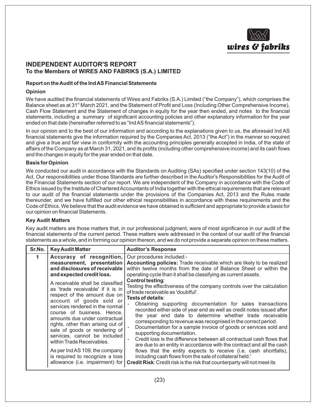

#### **INDEPENDENT AUDITOR'S REPORT To the Members of WIRES AND FABRIKS (S.A.) LIMITED**

#### **Report on the Audit of the Ind AS Financial Statements**

#### **Opinion**

We have audited the financial statements of Wires and Fabriks (S.A.) Limited ("the Company"), which comprises the Balance sheet as at 31<sup>st</sup> March 2021, and the Statement of Profit and Loss (Including Other Comprehensive Income), Cash Flow Statement and the Statement of changes in equity for the year then ended, and notes to the financial statements, including a summary of significant accounting policies and other explanatory information for the year ended on that date (hereinafter referred to as "Ind AS financial statements").

In our opinion and to the best of our information and according to the explanations given to us, the aforesaid Ind AS financial statements give the information required by the Companies Act, 2013 ("the Act") in the manner so required and give a true and fair view in conformity with the accounting principles generally accepted in India, of the state of affairs of the Company as at March 31, 2021, and its profits (including other comprehensive income) and its cash flows and the changes in equity for the year ended on that date.

#### **Basis for Opinion**

We conducted our audit in accordance with the Standards on Auditing (SAs) specified under section 143(10) of the Act. Our responsibilities under those Standards are further described in the Auditor's Responsibilities for the Audit of the Financial Statements section of our report. We are independent of the Company in accordance with the Code of Ethics issued by the Institute of Chartered Accountants of India together with the ethical requirements that are relevant to our audit of the financial statements under the provisions of the Companies Act, 2013 and the Rules made thereunder, and we have fulfilled our other ethical responsibilities in accordance with these requirements and the Code of Ethics. We believe that the audit evidence we have obtained is sufficient and appropriate to provide a basis for our opinion on financial Statements.

#### **Key Audit Matters**

Key audit matters are those matters that, in our professional judgment, were of most significance in our audit of the financial statements of the current period. These matters were addressed in the context of our audit of the financial statements as a whole, and in forming our opinion thereon, and we do not provide a separate opinion on these matters.

| Sr.No.<br><b>Key Audit Matter</b>                                                                                                                                                                                                                                                                                                                                                                                                                                     | <b>Auditor's Response</b>                                                                                                                                                                                                                                                                                                                                                                                                                                                                                                                                                                                                                                                                                                                                                             |
|-----------------------------------------------------------------------------------------------------------------------------------------------------------------------------------------------------------------------------------------------------------------------------------------------------------------------------------------------------------------------------------------------------------------------------------------------------------------------|---------------------------------------------------------------------------------------------------------------------------------------------------------------------------------------------------------------------------------------------------------------------------------------------------------------------------------------------------------------------------------------------------------------------------------------------------------------------------------------------------------------------------------------------------------------------------------------------------------------------------------------------------------------------------------------------------------------------------------------------------------------------------------------|
| 1<br>Accuracy of recognition,<br>measurement, presentation<br>and disclosures of receivable<br>and expected credit loss.<br>A receivable shall be classified<br>as 'trade receivable' if it is in<br>respect of the amount due on<br>account of goods sold or<br>services rendered in the normal<br>course of business. Hence,<br>amounts due under contractual<br>rights, other than arising out of<br>sale of goods or rendering of<br>services, cannot be included | Our procedures included:-<br><b>Accounting policies:</b> Trade receivable which are likely to be realized<br>within twelve months from the date of Balance Sheet or within the<br>operating cycle than it shall be classifying as current assets.<br><b>Control testing:</b><br>Testing the effectiveness of the company controls over the calculation<br>of trade receivable as 'doubtful'.<br>Tests of details:<br>Obtaining supporting documentation for sales transactions<br>recorded either side of year end as well as credit notes issued after<br>the year end date to determine whether trade receivable<br>corresponding to revenue was recognised in the correct period.<br>Documentation for a sample invoice of goods or services sold and<br>supporting documentation. |
| within Trade Receivables.                                                                                                                                                                                                                                                                                                                                                                                                                                             | Credit loss is the difference between all contractual cash flows that<br>are due to an entity in accordance with the contract and all the cash                                                                                                                                                                                                                                                                                                                                                                                                                                                                                                                                                                                                                                        |
| As per Ind AS 109, the company<br>is required to recognize a loss<br>allowance (i.e. impairment) for                                                                                                                                                                                                                                                                                                                                                                  | flows that the entity expects to receive (i.e. cash shortfalls),<br>including cash flows from the sale of collateral held."<br>Credit Risk: Credit risk is the risk that counterparty will not meet its                                                                                                                                                                                                                                                                                                                                                                                                                                                                                                                                                                               |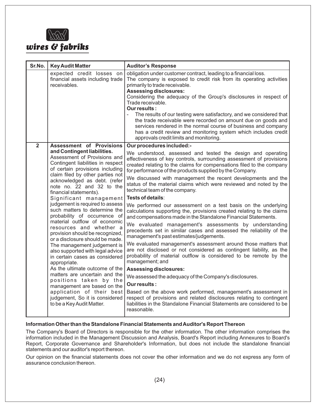

| Sr.No.                                                                                                                           | <b>Key Audit Matter</b>                                                                              | <b>Auditor's Response</b>                                                                                                                                                                                                                                                                                                                                                                                                                                                                                                                                                                                                                                       |
|----------------------------------------------------------------------------------------------------------------------------------|------------------------------------------------------------------------------------------------------|-----------------------------------------------------------------------------------------------------------------------------------------------------------------------------------------------------------------------------------------------------------------------------------------------------------------------------------------------------------------------------------------------------------------------------------------------------------------------------------------------------------------------------------------------------------------------------------------------------------------------------------------------------------------|
|                                                                                                                                  | expected credit losses on<br>financial assets including trade<br>receivables.                        | obligation under customer contract, leading to a financial loss.<br>The company is exposed to credit risk from its operating activities<br>primarily to trade receivable.<br><b>Assessing disclosures:</b><br>Considering the adequacy of the Group's disclosures in respect of<br>Trade receivable.<br>Our results:<br>$\overline{a}$<br>The results of our testing were satisfactory, and we considered that<br>the trade receivable were recorded on amount due on goods and<br>services rendered in the normal course of business and company<br>has a credit review and monitoring system which includes credit<br>approvals credit limits and monitoring. |
| $\overline{2}$                                                                                                                   | <b>Assessment of Provisions</b><br>and Contingent liabilities.                                       | Our procedures included:-                                                                                                                                                                                                                                                                                                                                                                                                                                                                                                                                                                                                                                       |
|                                                                                                                                  | Assessment of Provisions and<br>Contingent liabilities in respect<br>of certain provisions including | We understood, assessed and tested the design and operating<br>effectiveness of key controls, surrounding assessment of provisions<br>created relating to the claims for compensations filed to the company<br>for performance of the products supplied by the Company.                                                                                                                                                                                                                                                                                                                                                                                         |
| claim filed by other parties not<br>acknowledged as debt. (refer<br>note no. 22 and 32 to the<br>financial statements).          |                                                                                                      | We discussed with management the recent developments and the<br>status of the material claims which were reviewed and noted by the<br>technical team of the company.                                                                                                                                                                                                                                                                                                                                                                                                                                                                                            |
|                                                                                                                                  | Significant management                                                                               | Tests of details:                                                                                                                                                                                                                                                                                                                                                                                                                                                                                                                                                                                                                                               |
| judgement is required to assess<br>such matters to determine the<br>probability of occurrence of<br>material outflow of economic |                                                                                                      | We performed our assessment on a test basis on the underlying<br>calculations supporting the, provisions created relating to the claims<br>and compensations made in the Standalone Financial Statements.                                                                                                                                                                                                                                                                                                                                                                                                                                                       |
|                                                                                                                                  | resources and whether a<br>provision should be recognized,<br>or a disclosure should be made.        | We evaluated management's assessments by understanding<br>precedents set in similar cases and assessed the reliability of the<br>management's past estimates/judgements.                                                                                                                                                                                                                                                                                                                                                                                                                                                                                        |
| appropriate.                                                                                                                     | The management judgement is<br>also supported with legal advice<br>in certain cases as considered    | We evaluated management's assessment around those matters that<br>are not disclosed or not considered as contingent liability, as the<br>probability of material outflow is considered to be remote by the<br>management; and                                                                                                                                                                                                                                                                                                                                                                                                                                   |
|                                                                                                                                  | As the ultimate outcome of the                                                                       | <b>Assessing disclosures:</b>                                                                                                                                                                                                                                                                                                                                                                                                                                                                                                                                                                                                                                   |
|                                                                                                                                  | matters are uncertain and the<br>positions taken by the                                              | We assessed the adequacy of the Company's disclosures.                                                                                                                                                                                                                                                                                                                                                                                                                                                                                                                                                                                                          |
|                                                                                                                                  | management are based on the<br>application of their best                                             | Our results:                                                                                                                                                                                                                                                                                                                                                                                                                                                                                                                                                                                                                                                    |
|                                                                                                                                  | judgement, So it is considered<br>to be a Key Audit Matter.                                          | Based on the above work performed, management's assessment in<br>respect of provisions and related disclosures relating to contingent<br>liabilities in the Standalone Financial Statements are considered to be<br>reasonable.                                                                                                                                                                                                                                                                                                                                                                                                                                 |

#### **Information Other than the Standalone Financial Statements and Auditor's Report Thereon**

The Company's Board of Directors is responsible for the other information. The other information comprises the information included in the Management Discussion and Analysis, Board's Report including Annexures to Board's Report, Corporate Governance and Shareholder's Information, but does not include the standalone financial statements and our auditor's report thereon.

Our opinion on the financial statements does not cover the other information and we do not express any form of assurance conclusion thereon.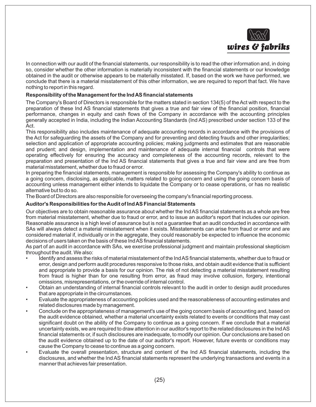

In connection with our audit of the financial statements, our responsibility is to read the other information and, in doing so, consider whether the other information is materially inconsistent with the financial statements or our knowledge obtained in the audit or otherwise appears to be materially misstated. If, based on the work we have performed, we conclude that there is a material misstatement of this other information, we are required to report that fact. We have nothing to report in this regard.

#### **Responsibility of the Management for the Ind AS financial statements**

The Company's Board of Directors is responsible for the matters stated in section 134(5) of the Act with respect to the preparation of these Ind AS financial statements that gives a true and fair view of the financial position, financial performance, changes in equity and cash flows of the Company in accordance with the accounting principles generally accepted in India, including the Indian Accounting Standards (Ind AS) prescribed under section 133 of the Act.

This responsibility also includes maintenance of adequate accounting records in accordance with the provisions of the Act for safeguarding the assets of the Company and for preventing and detecting frauds and other irregularities; selection and application of appropriate accounting policies; making judgments and estimates that are reasonable and prudent; and design, implementation and maintenance of adequate internal financial controls that were operating effectively for ensuring the accuracy and completeness of the accounting records, relevant to the preparation and presentation of the Ind AS financial statements that gives a true and fair view and are free from material misstatement, whether due to fraud or error.

In preparing the financial statements, management is responsible for assessing the Company's ability to continue as a going concern, disclosing, as applicable, matters related to going concern and using the going concern basis of accounting unless management either intends to liquidate the Company or to cease operations, or has no realistic alternative but to do so.

The Board of Directors are also responsible for overseeing the company's financial reporting process.

#### **Auditor's Responsibilities for the Audit of Ind AS Financial Statements**

Our objectives are to obtain reasonable assurance about whether the Ind AS financial statements as a whole are free from material misstatement, whether due to fraud or error, and to issue an auditor's report that includes our opinion. Reasonable assurance is a high level of assurance but is not a guarantee that an audit conducted in accordance with SAs will always detect a material misstatement when it exists. Misstatements can arise from fraud or error and are considered material if, individually or in the aggregate, they could reasonably be expected to influence the economic decisions of users taken on the basis of these Ind AS financial statements.

As part of an audit in accordance with SAs, we exercise professional judgment and maintain professional skepticism throughout the audit. We also:

- Identify and assess the risks of material misstatement of the Ind AS financial statements, whether due to fraud or error, design and perform audit procedures responsive to those risks, and obtain audit evidence that is sufficient and appropriate to provide a basis for our opinion. The risk of not detecting a material misstatement resulting from fraud is higher than for one resulting from error, as fraud may involve collusion, forgery, intentional omissions, misrepresentations, or the override of internal control.
- Obtain an understanding of internal financial controls relevant to the audit in order to design audit procedures that are appropriate in the circumstances.
- Evaluate the appropriateness of accounting policies used and the reasonableness of accounting estimates and related disclosures made by management.
- Conclude on the appropriateness of management's use of the going concern basis of accounting and, based on the audit evidence obtained, whether a material uncertainty exists related to events or conditions that may cast significant doubt on the ability of the Company to continue as a going concern. If we conclude that a material uncertainty exists, we are required to draw attention in our auditor's report to the related disclosures in the Ind AS financial statements or, if such disclosures are inadequate, to modify our opinion. Our conclusions are based on the audit evidence obtained up to the date of our auditor's report. However, future events or conditions may cause the Company to cease to continue as a going concern.
- Evaluate the overall presentation, structure and content of the Ind AS financial statements, including the disclosures, and whether the Ind AS financial statements represent the underlying transactions and events in a manner that achieves fair presentation.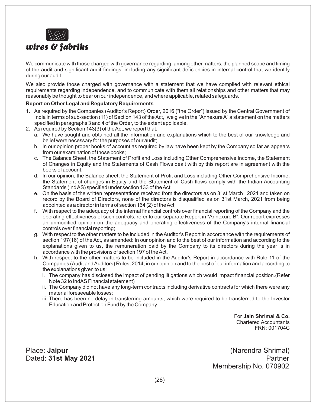

We communicate with those charged with governance regarding, among other matters, the planned scope and timing of the audit and significant audit findings, including any significant deficiencies in internal control that we identify during our audit.

We also provide those charged with governance with a statement that we have complied with relevant ethical requirements regarding independence, and to communicate with them all relationships and other matters that may reasonably be thought to bear on our independence, and where applicable, related safeguards.

#### **Report on Other Legal and Regulatory Requirements**

- 1. As required by the Companies (Auditor's Report) Order, 2016 ("the Order") issued by the Central Government of India in terms of sub-section (11) of Section 143 of the Act, we give in the "Annexure A" a statement on the matters specified in paragraphs 3 and 4 of the Order, to the extent applicable.
- 2. As required by Section 143(3) of the Act, we report that:
	- a. We have sought and obtained all the information and explanations which to the best of our knowledge and belief were necessary for the purposes of our audit;
	- b. In our opinion proper books of account as required by law have been kept by the Company so far as appears from our examination of those books;
	- c. The Balance Sheet, the Statement of Profit and Loss including Other Comprehensive Income, the Statement of Changes in Equity and the Statements of Cash Flows dealt with by this report are in agreement with the books of account;
	- d. In our opinion, the Balance sheet, the Statement of Profit and Loss including Other Comprehensive Income, the Statement of changes in Equity and the Statement of Cash flows comply with the Indian Accounting Standards (Ind AS) specified under section 133 of the Act;
	- e. On the basis of the written representations received from the directors as on 31st March , 2021 and taken on record by the Board of Directors, none of the directors is disqualified as on 31st March, 2021 from being appointed as a director in terms of section 164 (2) of the Act;
	- f. With respect to the adequacy of the internal financial controls over financial reporting of the Company and the operating effectiveness of such controls, refer to our separate Report in "Annexure B". Our report expresses an unmodified opinion on the adequacy and operating effectiveness of the Company's internal financial controls over financial reporting;
	- g. With respect to the other matters to be included in the Auditor's Report in accordance with the requirements of section 197(16) of the Act, as amended: In our opinion and to the best of our information and according to the explanations given to us, the remuneration paid by the Company to its directors during the year is in accordance with the provisions of section 197 of the Act.
	- h. With respect to the other matters to be included in the Auditor's Report in accordance with Rule 11 of the Companies (Audit and Auditors) Rules, 2014, in our opinion and to the best of our information and according to the explanations given to us:
		- i. The company has disclosed the impact of pending litigations which would impact financial position.(Refer Note 32 to IndAS Financial statement)
		- ii. The Company did not have any long-term contracts including derivative contracts for which there were any material foreseeable losses;
		- iii. There has been no delay in transferring amounts, which were required to be transferred to the Investor Education and Protection Fund by the Company.

For **Jain Shrimal & Co.** Chartered Accountants FRN: 001704C

Place: **Jaipur** (Narendra Shrimal) Membership No. 070902

Dated: 31st May 2021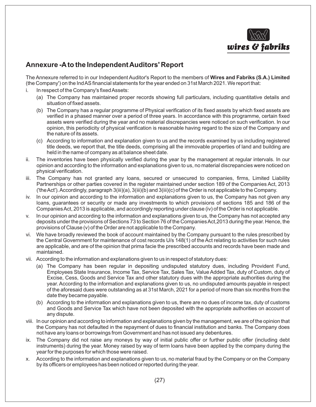

## **Annexure -A to the Independent Auditors' Report**

The Annexure referred to in our Independent Auditor's Report to the members of **Wires and Fabriks (S.A.) Limited** (the Company') on the Ind AS financial statements for the year ended on 31st March 2021. We report that:

- i. In respect of the Company's fixed Assets:
	- (a) The Company has maintained proper records showing full particulars, including quantitative details and situation of fixed assets.
	- (b) The Company has a regular programme of Physical verification of its fixed assets by which fixed assets are verified in a phased manner over a period of three years. In accordance with this programme, certain fixed assets were verified during the year and no material discrepancies were noticed on such verification. In our opinion, this periodicity of physical verification is reasonable having regard to the size of the Company and the nature of its assets.
	- (c) According to information and explanation given to us and the records examined by us including registered title deeds, we report that, the title deeds, comprising all the immovable properties of land and building are held in the name of company as at balance sheet date.
- ii. The inventories have been physically verified during the year by the management at regular intervals. In our opinion and according to the information and explanations given to us, no material discrepancies were noticed on physical verification.
- iii. The Company has not granted any loans, secured or unsecured to companies, firms, Limited Liability Partnerships or other parties covered in the register maintained under section 189 of the Companies Act, 2013 ('the Act'). Accordingly, paragraph 3(iii)(a), 3(iii)(b) and 3(iii)(c) of the Order is not applicable to the Company.
- iv. In our opinion and according to the information and explanations given to us, the Company has not given any loans, guarantees or security or made any investments to which provisions of sections 185 and 186 of the Companies Act, 2013 is applicable, and accordingly reporting under clause (iv) of the Order is not applicable.
- v. In our opinion and according to the information and explanations given to us, the Company has not accepted any deposits under the provisions of Sections 73 to Section 76 of the Companies Act,2013 during the year. Hence, the provisions of Clause (v) of the Order are not applicable to the Company.
- vi. We have broadly reviewed the book of account maintained by the Company pursuant to the rules prescribed by the Central Government for maintenance of cost records U/s 148(1) of the Act relating to activities for such rules are applicable, and are of the opinion that prima facie the prescribed accounts and records have been made and maintained.
- vii. According to the information and explanations given to us in respect of statutory dues:
	- (a) The Company has been regular in depositing undisputed statutory dues, including Provident Fund, Employees State Insurance, Income Tax, Service Tax, Sales Tax, Value Added Tax, duty of Custom, duty of Excise, Cess, Goods and Service Tax and other statutory dues with the appropriate authorities during the year. According to the information and explanations given to us, no undisputed amounts payable in respect of the aforesaid dues were outstanding as at 31st March, 2021 for a period of more than six months from the date they became payable.
	- (b) According to the information and explanations given to us, there are no dues of income tax, duty of customs and Goods and Service Tax which have not been deposited with the appropriate authorities on account of any dispute.
- viii. In our opinion and according to information and explanations given by the management, we are of the opinion that the Company has not defaulted in the repayment of dues to financial institution and banks. The Company does not have any loans or borrowings from Government and has not issued any debentures.
- ix. The Company did not raise any moneys by way of initial public offer or further public offer (including debt instruments) during the year. Money raised by way of term loans have been applied by the company during the year for the purposes for which those were raised.
- x. According to the information and explanations given to us, no material fraud by the Company or on the Company by its officers or employees has been noticed or reported during the year.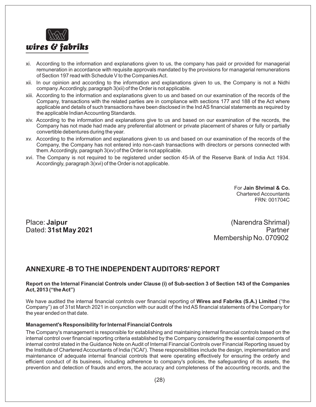

- xi. According to the information and explanations given to us, the company has paid or provided for managerial remuneration in accordance with requisite approvals mandated by the provisions for managerial remunerations of Section 197 read with Schedule V to the Companies Act.
- xii. In our opinion and according to the information and explanations given to us, the Company is not a Nidhi company. Accordingly, paragraph 3(xii) of the Order is not applicable.
- xiii. According to the information and explanations given to us and based on our examination of the records of the Company, transactions with the related parties are in compliance with sections 177 and 188 of the Act where applicable and details of such transactions have been disclosed in the Ind AS financial statements as required by the applicable Indian Accounting Standards.
- xiv. According to the information and explanations give to us and based on our examination of the records, the Company has not made had made any preferential allotment or private placement of shares or fully or partially convertible debentures during the year.
- xv. According to the information and explanations given to us and based on our examination of the records of the Company, the Company has not entered into non-cash transactions with directors or persons connected with them. Accordingly, paragraph 3(xv) of the Order is not applicable.
- xvi. The Company is not required to be registered under section 45-IA of the Reserve Bank of India Act 1934. Accordingly, paragraph 3(xvi) of the Order is not applicable.

For **Jain Shrimal & Co.** Chartered Accountants FRN: 001704C

Dated: 31st May 2021

Place: **Jaipur** (Narendra Shrimal) Membership No. 070902

## **ANNEXURE -B TO THE INDEPENDENT AUDITORS' REPORT**

#### **Report on the Internal Financial Controls under Clause (i) of Sub-section 3 of Section 143 of the Companies Act, 2013 ("the Act")**

We have audited the internal financial controls over financial reporting of **Wires and Fabriks (S.A.) Limited** ("the Company") as of 31st March 2021 in conjunction with our audit of the Ind AS financial statements of the Company for the year ended on that date.

#### **Management's Responsibility for Internal Financial Controls**

The Company's management is responsible for establishing and maintaining internal financial controls based on the internal control over financial reporting criteria established by the Company considering the essential components of internal control stated in the Guidance Note on Audit of Internal Financial Controls over Financial Reporting issued by the Institute of Chartered Accountants of India ('ICAI'). These responsibilities include the design, implementation and maintenance of adequate internal financial controls that were operating effectively for ensuring the orderly and efficient conduct of its business, including adherence to company's policies, the safeguarding of its assets, the prevention and detection of frauds and errors, the accuracy and completeness of the accounting records, and the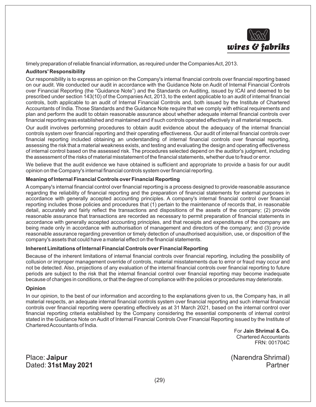

timely preparation of reliable financial information, as required under the Companies Act, 2013.

#### **Auditors' Responsibility**

Our responsibility is to express an opinion on the Company's internal financial controls over financial reporting based on our audit. We conducted our audit in accordance with the Guidance Note on Audit of Internal Financial Controls over Financial Reporting (the "Guidance Note") and the Standards on Auditing, issued by ICAI and deemed to be prescribed under section 143(10) of the Companies Act, 2013, to the extent applicable to an audit of internal financial controls, both applicable to an audit of Internal Financial Controls and, both issued by the Institute of Chartered Accountants of India. Those Standards and the Guidance Note require that we comply with ethical requirements and plan and perform the audit to obtain reasonable assurance about whether adequate internal financial controls over financial reporting was established and maintained and if such controls operated effectively in all material respects.

Our audit involves performing procedures to obtain audit evidence about the adequacy of the internal financial controls system over financial reporting and their operating effectiveness. Our audit of internal financial controls over financial reporting included obtaining an understanding of internal financial controls over financial reporting, assessing the risk that a material weakness exists, and testing and evaluating the design and operating effectiveness of internal control based on the assessed risk. The procedures selected depend on the auditor's judgment, including the assessment of the risks of material misstatement of the financial statements, whether due to fraud or error.

We believe that the audit evidence we have obtained is sufficient and appropriate to provide a basis for our audit opinion on the Company's internal financial controls system over financial reporting.

#### **Meaning of Internal Financial Controls over Financial Reporting**

A company's internal financial control over financial reporting is a process designed to provide reasonable assurance regarding the reliability of financial reporting and the preparation of financial statements for external purposes in accordance with generally accepted accounting principles. A company's internal financial control over financial reporting includes those policies and procedures that (1) pertain to the maintenance of records that, in reasonable detail, accurately and fairly reflect the transactions and dispositions of the assets of the company; (2) provide reasonable assurance that transactions are recorded as necessary to permit preparation of financial statements in accordance with generally accepted accounting principles, and that receipts and expenditures of the company are being made only in accordance with authorisation of management and directors of the company; and (3) provide reasonable assurance regarding prevention or timely detection of unauthorised acquisition, use, or disposition of the company's assets that could have a material effect on the financial statements.

#### **Inherent Limitations of Internal Financial Controls over Financial Reporting**

Because of the inherent limitations of internal financial controls over financial reporting, including the possibility of collusion or improper management override of controls, material misstatements due to error or fraud may occur and not be detected. Also, projections of any evaluation of the internal financial controls over financial reporting to future periods are subject to the risk that the internal financial control over financial reporting may become inadequate because of changes in conditions, or that the degree of compliance with the policies or procedures may deteriorate.

#### **Opinion**

In our opinion, to the best of our information and according to the explanations given to us, the Company has, in all material respects, an adequate internal financial controls system over financial reporting and such internal financial controls over financial reporting were operating effectively as at 31 March 2021, based on the internal control over financial reporting criteria established by the Company considering the essential components of internal control stated in the Guidance Note on Audit of Internal Financial Controls Over Financial Reporting issued by the Institute of Chartered Accountants of India.

For **Jain Shrimal & Co.** Chartered Accountants FRN: 001704C

Place: **Jaipur** (Narendra Shrimal) Dated: **31st May 2021** Partner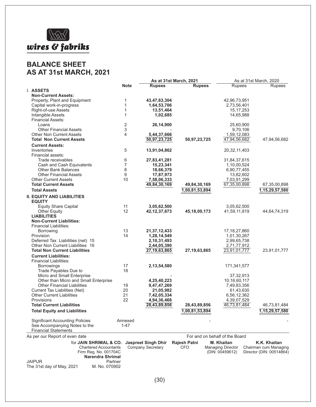

## **BALANCE SHEET AS AT 31st MARCH, 2021**

|                                       |                                            |                |                          | As at 31st March, 2021 |                                |                          | As at 31st March, 2020 |                          |
|---------------------------------------|--------------------------------------------|----------------|--------------------------|------------------------|--------------------------------|--------------------------|------------------------|--------------------------|
|                                       |                                            | <b>Note</b>    | <b>Rupees</b>            | <b>Rupees</b>          |                                | <b>Rupees</b>            |                        | <b>Rupees</b>            |
| I. ASSETS                             |                                            |                |                          |                        |                                |                          |                        |                          |
| <b>Non-Current Assets:</b>            |                                            |                |                          |                        |                                |                          |                        |                          |
| Property, Plant and Equipment         |                                            | 1              | 43,47,63,304             |                        |                                | 42,96,73,951             |                        |                          |
| Capital work-in-progress              |                                            | 1              | 1,64,53,706              |                        |                                | 2,73,56,401              |                        |                          |
| Right-of-use Assets                   |                                            | 1              | 13,51,464                |                        |                                | 15, 17, 253              |                        |                          |
| Intangible Assets                     |                                            | $\mathbf{1}$   | 1,02,685                 |                        |                                | 14,65,988                |                        |                          |
| <b>Financial Assets:</b>              |                                            |                |                          |                        |                                |                          |                        |                          |
| Loans                                 |                                            | $\overline{2}$ | 26,14,900                |                        |                                | 25,60,900                |                        |                          |
| <b>Other Financial Assets</b>         |                                            | 3              |                          |                        |                                | 9,70,106                 |                        |                          |
| <b>Other Non Current Assets</b>       |                                            | $\overline{4}$ | 5,44,37,666              |                        |                                | 1,59,12,083              |                        |                          |
| <b>Total Non Current Assets</b>       |                                            |                | 50,97,23,725             | 50,97,23,725           |                                | 47,94,56,682             |                        | 47,94,56,682             |
| <b>Current Assets:</b>                |                                            |                |                          |                        |                                |                          |                        |                          |
| Inventories                           |                                            | 5              | 13,91,04,862             |                        |                                | 20,32,11,403             |                        |                          |
| Financial assets:                     |                                            |                |                          |                        |                                |                          |                        |                          |
| Trade receivables                     |                                            | 6              |                          |                        |                                |                          |                        |                          |
|                                       |                                            | 7              | 27,83,41,281             |                        |                                | 31,84,37,615             |                        |                          |
| Cash and Cash Equivalents             |                                            | 8              | 15,23,341                |                        |                                | 1,10,00,524              |                        |                          |
| <b>Other Bank Balances</b>            |                                            |                | 18,66,379                |                        |                                | 6,90,77,455              |                        |                          |
| <b>Other Financial Assets</b>         |                                            | 9              | 17,87,973                |                        |                                | 13,82,602                |                        |                          |
| <b>Other Current Assets</b>           |                                            | 10             | 7,58,06,333              |                        |                                | 7,03,91,299              |                        |                          |
| <b>Total Current Assets</b>           |                                            |                | 49,84,30,169             | 49,84,30,169           |                                | 67,35,00,898             |                        | 67,35,00,898             |
| <b>Total Assets</b>                   |                                            |                |                          | 1,00,81,53,894         |                                |                          |                        | 1,15,29,57,580           |
| <b>II. EQUITY AND LIABILITIES</b>     |                                            |                |                          |                        |                                |                          |                        |                          |
| <b>EQUITY</b>                         |                                            |                |                          |                        |                                |                          |                        |                          |
| <b>Equity Share Capital</b>           |                                            | 11             | 3,05,62,500              |                        |                                | 3,05,62,500              |                        |                          |
| <b>Other Equity</b>                   |                                            | 12             | 42,12,37,673             | 45,18,00,173           |                                | 41,59,11,819             |                        | 44,64,74,319             |
| <b>LIABILITIES</b>                    |                                            |                |                          |                        |                                |                          |                        |                          |
| <b>Non-Current Liabilities:</b>       |                                            |                |                          |                        |                                |                          |                        |                          |
| <b>Financial Liabilities:</b>         |                                            |                |                          |                        |                                |                          |                        |                          |
| Borrowing                             |                                            | 13             | 21,37,12,433             |                        |                                | 17, 18, 27, 860          |                        |                          |
| Provision                             |                                            | 14             | 1,28,14,549              |                        |                                | 1,01,30,267              |                        |                          |
| Deferred Tax Liabilities (net) 15     |                                            |                | 2,10,31,493              |                        |                                | 2,99,65,738              |                        |                          |
| Other Non Current Liabilities 16      |                                            |                | 2,44,05,390              |                        |                                | 2,71,77,912              |                        |                          |
| <b>Total Non Current Liabilities</b>  |                                            |                | 27, 19, 63, 865          | 27, 19, 63, 865        |                                | 23,91,01,777             |                        | 23,91,01,777             |
|                                       |                                            |                |                          |                        |                                |                          |                        |                          |
| <b>Current Liabilities:</b>           |                                            |                |                          |                        |                                |                          |                        |                          |
| <b>Financial Liabilities:</b>         |                                            |                |                          |                        |                                |                          |                        |                          |
| <b>Borrowings</b>                     |                                            | 17             | 2,13,54,580              |                        |                                | 171,341,577              |                        |                          |
| Trade Payables Due to                 |                                            | 18             |                          |                        |                                |                          |                        |                          |
| Micro and Small Enterprise            |                                            |                |                          |                        |                                | 37, 32, 913              |                        |                          |
| Other than Micro and Small Enterprise |                                            |                | 4,25,40,223              |                        |                                | 10,16,60,117             |                        |                          |
| <b>Other Financial Liabilities</b>    |                                            | 19             | 9,47,47,269              |                        |                                | 7,49,83,356              |                        |                          |
| Current Tax Liabilities (Net)         |                                            | 20             | 21,05,982                |                        |                                | 61,43,630                |                        |                          |
| <b>Other Current Liabilities</b>      |                                            | 21             | 7,42,05,334              |                        |                                | 6,56,12,362              |                        |                          |
| Provisions                            |                                            | 22             | 4,94,36,468              |                        |                                | 4,39,07,529              |                        |                          |
| <b>Total Current Liabilities</b>      |                                            |                | 28,43,89,856             | 28,43,89,856           |                                | 46,73,81,484             |                        | 46,73,81,484             |
| <b>Total Equity and Liabilities</b>   |                                            |                |                          | 1,00,81,53,894         |                                |                          |                        | 1,15,29,57,580           |
| Significant Accounting Policies       |                                            | Annexed        |                          |                        |                                |                          |                        |                          |
| See Accompanying Notes to the         |                                            | $1 - 47$       |                          |                        |                                |                          |                        |                          |
| <b>Financial Statements</b>           |                                            |                |                          |                        |                                |                          |                        |                          |
|                                       |                                            |                |                          |                        |                                |                          |                        |                          |
| As per our Report of even date        |                                            |                |                          |                        | For and on behalf of the Board |                          |                        |                          |
|                                       | for JAIN SHRIMAL & CO. Jaspreet Singh Dhir |                |                          | Rajesh Patni           | <b>M. Khaitan</b>              |                          |                        | K.K. Khaitan             |
|                                       | <b>Chartered Accountants</b>               |                | <b>Company Secretary</b> | CFO                    |                                | <b>Managing Director</b> |                        | Chairman cum Managing    |
|                                       | Firm Reg. No. 001704C                      |                |                          |                        |                                | (DIN: 00459612)          |                        | Director (DIN: 00514864) |
|                                       | <b>Narendra Shrimal</b>                    |                |                          |                        |                                |                          |                        |                          |
| <b>JAIPUR</b>                         | Partner                                    |                |                          |                        |                                |                          |                        |                          |
| The 31st day of May, 2021             | M. No. 070902                              |                |                          |                        |                                |                          |                        |                          |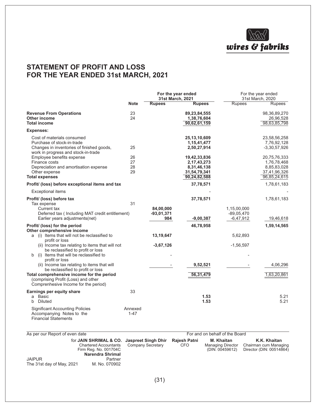

## **STATEMENT OF PROFIT AND LOSS FOR THE YEAR ENDED 31st MARCH, 2021**

|                                                                                                                                                                                                                                                                   |                           | For the year ended<br>31st March, 2021 |                                                                                             | For the year ended<br>31st March, 2020     |                                                                                             |
|-------------------------------------------------------------------------------------------------------------------------------------------------------------------------------------------------------------------------------------------------------------------|---------------------------|----------------------------------------|---------------------------------------------------------------------------------------------|--------------------------------------------|---------------------------------------------------------------------------------------------|
|                                                                                                                                                                                                                                                                   | <b>Note</b>               | <b>Rupees</b>                          | <b>Rupees</b>                                                                               | <b>Rupees</b>                              | Rupees                                                                                      |
| <b>Revenue From Operations</b><br>Other income<br><b>Total income</b>                                                                                                                                                                                             | 23<br>24                  |                                        | 89,23,84,555<br>1,38,76,604<br>90,62,61,159                                                 |                                            | 98,36,89,270<br>26,96,528<br>98,63,85,798                                                   |
| Expenses:                                                                                                                                                                                                                                                         |                           |                                        |                                                                                             |                                            |                                                                                             |
| Cost of materials consumed<br>Purchase of stock-in-trade<br>Changes in inventories of finished goods,<br>work in progress and stock-in-trade<br>Employee benefits expense<br>Finance costs<br>Depreciation and amortisation expense                               | 25<br>26<br>27<br>28      |                                        | 25,13,10,609<br>1,15,41,477<br>2,50,27,914<br>19,42,33,836<br>2, 17, 43, 273<br>8,31,46,138 |                                            | 23,58,56,258<br>7,76,92,128<br>$-3,30,57,926$<br>20,75,76,333<br>1,76,78,468<br>8,85,83,028 |
| Other expense<br><b>Total expenses</b>                                                                                                                                                                                                                            | 29                        |                                        | 31,54,79,341<br>90,24,82,588                                                                |                                            | 37,41,96,326<br>96,85,24,615                                                                |
| Profit/ (loss) before exceptional items and tax                                                                                                                                                                                                                   |                           |                                        | 37,78,571                                                                                   |                                            | 1,78,61,183                                                                                 |
| <b>Exceptional items</b>                                                                                                                                                                                                                                          |                           |                                        |                                                                                             |                                            |                                                                                             |
| Profit/ (loss) before tax<br>Tax expense<br>Current tax<br>Deferred tax (Including MAT credit entitlement)<br>Earlier years adjustments(net)                                                                                                                      | 31                        | 84,00,000<br>$-93,01,371$<br>984       | 37,78,571<br>$-9,00,387$                                                                    | 1,15,00,000<br>$-89,05,470$<br>$-6,47,912$ | 1,78,61,183<br>19,46,618                                                                    |
| Profit/ (loss) for the period<br>Other comprehensive income<br>a (i) Items that will not be reclassified to<br>profit or loss<br>(ii) Income tax relating to items that will not<br>be reclassified to profit or loss<br>b (i) Items that will be reclassified to |                           | 13,19,647<br>$-3,67,126$               | 46,78,958                                                                                   | 5,62,893<br>$-1,56,597$                    | 1,59,14,565                                                                                 |
| profit or loss<br>(ii) Income tax relating to items that will<br>be reclassified to profit or loss<br>Total comprehensive income for the period<br>(comprising Profit (Loss) and other<br>Comprenhesive Income for the period)                                    |                           |                                        | 9,52,521<br>56,31,479                                                                       |                                            | 4,06,296<br>1,63,20,861                                                                     |
| Earnings per equity share<br>a Basic<br>b<br><b>Diluted</b><br><b>Significant Accounting Policies</b><br>Accompanying Notes to the<br><b>Financial Statements</b>                                                                                                 | 33<br>Annexed<br>$1 - 47$ |                                        | 1.53<br>1.53                                                                                |                                            | 5.21<br>5.21                                                                                |

| As per our Report of even date             |                                                                                                                         |                   |                     | For and on behalf of the Board                     |                                                                   |
|--------------------------------------------|-------------------------------------------------------------------------------------------------------------------------|-------------------|---------------------|----------------------------------------------------|-------------------------------------------------------------------|
|                                            | for JAIN SHRIMAL & CO. Jaspreet Singh Dhir<br><b>Chartered Accountants</b><br>Firm Reg. No. 001704C<br>Narendra Shrimal | Company Secretary | Raiesh Patni<br>CFO | M. Khaitan<br>Managing Director<br>(DIN: 00459612) | K.K. Khaitan<br>Chairman cum Managing<br>Director (DIN: 00514864) |
| <b>JAIPUR</b><br>The 31st day of May, 2021 | Partner<br>M. No. 070902                                                                                                |                   |                     |                                                    |                                                                   |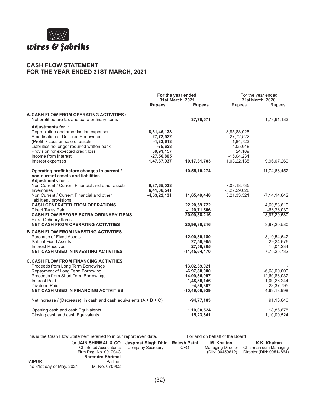

#### **CASH FLOW STATEMENT FOR THE YEAR ENDED 31ST MARCH, 2021**

|                                                                                                                                                                                                                                                                                                                                                               | For the year ended<br>31st March, 2021                                                             |                                                                                                       |                                                                                                 | For the year ended<br>31st March, 2020                                          |
|---------------------------------------------------------------------------------------------------------------------------------------------------------------------------------------------------------------------------------------------------------------------------------------------------------------------------------------------------------------|----------------------------------------------------------------------------------------------------|-------------------------------------------------------------------------------------------------------|-------------------------------------------------------------------------------------------------|---------------------------------------------------------------------------------|
|                                                                                                                                                                                                                                                                                                                                                               | <b>Rupees</b>                                                                                      | <b>Rupees</b>                                                                                         | <b>Rupees</b>                                                                                   | <b>Rupees</b>                                                                   |
| A. CASH FLOW FROM OPERATING ACTIVITIES :<br>Net profit before tax and extra ordinary items                                                                                                                                                                                                                                                                    |                                                                                                    | 37,78,571                                                                                             |                                                                                                 | 1,78,61,183                                                                     |
| Adjustments for:<br>Depreciation and amortisation expenses<br>Amortisation of Deffered Endowment<br>(Profit) / Loss on sale of assets<br>Liabilities no longer required written back<br>Provision for expected credit loss<br>Income from Interest<br>Interest expenses                                                                                       | 8,31,46,138<br>27,72,522<br>$-1, 33, 618$<br>$-75,628$<br>39,91,157<br>$-27,56,805$<br>1,47,87,937 | 10,17,31,703                                                                                          | 8,85,83,028<br>27,72,522<br>$-1,84,723$<br>$-4.05.648$<br>24,189<br>$-15,04,234$<br>1,03,22,135 | 9,96,07,269                                                                     |
| Operating profit before changes in current /<br>non-current assets and liabilities                                                                                                                                                                                                                                                                            |                                                                                                    | 10,55,10,274                                                                                          |                                                                                                 | 11,74,68,452                                                                    |
| <b>Adiustments for:</b><br>Non Current / Current Financial and other assets<br>Inventories<br>Non Current / Current Financial and other<br>liabilities / provisions<br><b>CASH GENERATED FROM OPERATIONS</b><br>Direct Taxes Paid<br><b>CASH FLOW BEFORE EXTRA ORDINARY ITEMS</b><br><b>Extra Ordinary Items</b><br><b>NET CASH FROM OPERATING ACTIVITIES</b> | 9,87,65,038<br>6,41,06,541<br>$-4,63,22,131$                                                       | 11,65,49,448<br>22,20,59,722<br>$-1, 20, 71, 506$<br>20,99,88,216<br>20,99,88,216                     | $-7,08,18,735$<br>$-5,27,29,628$<br>5,21,33,521                                                 | $-7, 14, 14, 842$<br>4,60,53,610<br>$-63,33,030$<br>3,97,20,580<br>3,97,20,580  |
| <b>B. CASH FLOW FROM INVESTING ACTIVITIES</b><br><b>Purchase of Fixed Assets</b><br>Sale of Fixed Assets<br>Interest Received<br><b>NET CASH USED IN INVESTING ACTIVITIES</b>                                                                                                                                                                                 |                                                                                                    | $-12,00,80,180$<br>27,58,905<br>27,56,805<br>$-11,45,64,470$                                          |                                                                                                 | $-8, 19, 54, 642$<br>29,24,676<br>15,04,234<br>$-7,75,25,732$                   |
| <b>C. CASH FLOW FROM FINANCING ACTIVITIES</b><br>Proceeds from Long Term Borrowings<br>Repayment of Long Term Borrowing<br>Proceeds from Short Term Borrowings<br><b>Interest Paid</b><br>Dividend Paid<br><b>NET CASH USED IN FINANCING ACTIVITIES</b>                                                                                                       |                                                                                                    | 13,02,39,021<br>$-6,97,80,000$<br>$-14,99,86,997$<br>$-1,48,86,146$<br>$-4.86.807$<br>$-10,49,00,929$ |                                                                                                 | $-6,68,00,000$<br>12,69,83,037<br>$-1,09,26,244$<br>$-23,37,795$<br>4,69,18,998 |
| Net increase / (Decrease) in cash and cash equivalents $(A + B + C)$                                                                                                                                                                                                                                                                                          |                                                                                                    | $-94,77,183$                                                                                          |                                                                                                 | 91,13,846                                                                       |
| Opening cash and cash Equivalents<br>Closing cash and cash Equivalents                                                                                                                                                                                                                                                                                        |                                                                                                    | 1,10,00,524<br>15,23,341                                                                              |                                                                                                 | 18,86,678<br>1,10,00,524                                                        |

This is the Cash Flow Statement referred to in our report even date. For and on behalf of the Board

|                                            | for JAIN SHRIMAL & CO. Jaspreet Singh Dhir<br><b>Chartered Accountants</b><br>Firm Reg. No. 001704C<br>Narendra Shrimal | Company Secretary | Raiesh Patni<br><b>CFO</b> | M. Khaitan<br>Managing Director<br>(DIN: 00459612) | K.K. Khaitan<br>Chairman cum Managing<br>Director (DIN: 00514864) |
|--------------------------------------------|-------------------------------------------------------------------------------------------------------------------------|-------------------|----------------------------|----------------------------------------------------|-------------------------------------------------------------------|
| <b>JAIPUR</b><br>The 31st day of May, 2021 | Partner<br>M. No. 070902                                                                                                |                   |                            |                                                    |                                                                   |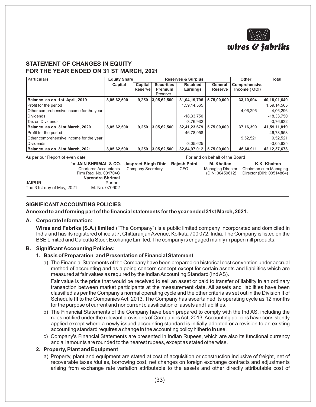

#### **STATEMENT OF CHANGES IN EQUITY FOR THE YEAR ENDED ON 31 ST MARCH, 2021**

| Particulars                             | <b>Equity Share</b> |                    |                              | <b>Reserves &amp; Surplus</b>      |                           | Other                         | <b>Total</b>    |
|-----------------------------------------|---------------------|--------------------|------------------------------|------------------------------------|---------------------------|-------------------------------|-----------------|
|                                         | Capital             | Capital<br>Reserve | <b>Securities</b><br>Premium | <b>Retained</b><br><b>Earnings</b> | General<br><b>Reserve</b> | Comprehensive<br>Income (OCI) |                 |
|                                         |                     |                    | Reserve                      |                                    |                           |                               |                 |
| Balance as on 1st April, 2019           | 3,05,62,500         | 9.250              | 3,05,62,500                  | 31,04,19,796                       | 5,75,00,000               | 33,10,094                     | 40,18,01,640    |
| Profit for the period                   |                     |                    |                              | 1.59.14.565                        |                           |                               | 1,59,14,565     |
| Other comprehensive income for the year |                     |                    |                              |                                    |                           | 4,06,296                      | 4.06.296        |
| <b>Dividends</b>                        |                     |                    |                              | $-18,33,750$                       |                           |                               | $-18,33,750$    |
| Tax on Dividends                        |                     |                    |                              | $-3.76.932$                        |                           |                               | $-3,76,932$     |
| Balance as on 31st March. 2020          | 3,05,62,500         | 9.250              | 3,05,62,500                  | 32,41,23,679                       | 5,75,00,000               | 37, 16, 390                   | 41,59,11,819    |
| Profit for the period                   |                     |                    |                              | 46.78.958                          |                           |                               | 46,78,958       |
| Other comprehensive income for the year |                     |                    |                              |                                    |                           | 9.52.521                      | 9,52,521        |
| <b>Dividends</b>                        |                     |                    |                              | $-3.05.625$                        |                           |                               | $-3,05,625$     |
| Balance as on 31st March, 2021          | 3,05,62,500         | 9,250              | 3,05,62,500                  | 32,84,97,012                       | 5.75.00.000               | 46.68.911                     | 42, 12, 37, 673 |

As per our Report of even date For and on behalf of the Board

|                           | for JAIN SHRIMAL & CO. Jaspreet Singh Dhir |                   | Raiesh Patni | M. Khaitan        | K.K. Khaitan             |
|---------------------------|--------------------------------------------|-------------------|--------------|-------------------|--------------------------|
|                           | <b>Chartered Accountants</b>               | Company Secretary | CFO          | Managing Director | Chairman cum Managing    |
|                           | Firm Reg. No. 001704C                      |                   |              | (DIN: 00459612)   | Director (DIN: 00514864) |
|                           | Narendra Shrimal                           |                   |              |                   |                          |
| JAIPUR                    | Partner                                    |                   |              |                   |                          |
| The 31st day of May, 2021 | M. No. 070902                              |                   |              |                   |                          |

### **SIGNIFICANT ACCOUNTING POLICIES**

**Annexed to and forming part of the financial statements for the year ended 31st March, 2021.**

#### **A. Corporate Information:**

**Wires and Fabriks (S.A.) limited** ("The Company") is a public limited company incorporated and domiciled in India and has its registered office at 7, Chittaranjan Avenue, Kolkata 700 072, India. The Company is listed on the BSE Limited and Calcutta Stock Exchange Limited. The company is engaged mainly in paper mill products.

#### **B. Significant Accounting Policies:**

#### **1. Basis of Preparation and Presentation of Financial Statement**

a) The Financial Statements of the Company have been prepared on historical cost convention under accrual method of accounting and as a going concern concept except for certain assets and liabilities which are measured at fair values as required by the Indian Accounting Standard (Ind AS).

Fair value is the price that would be received to sell an asset or paid to transfer of liability in an ordinary transaction between market participants at the measurement date. All assets and liabilities have been classified as per the Company's normal operating cycle and the other criteria as set out in the Division II of Schedule III to the Companies Act, 2013. The Company has ascertained its operating cycle as 12 months for the purpose of current and noncurrent classification of assets and liabilities.

- b) The Financial Statements of the Company have been prepared to comply with the Ind AS, including the rules notified under the relevant provisions of Companies Act, 2013. Accounting policies have consistently applied except where a newly issued accounting standard is initially adopted or a revision to an existing accounting standard requires a change in the accounting policy hitherto in use.
- c) Company's Financial Statements are presented in Indian Rupees, which are also its functional currency and all amounts are rounded to the nearest rupees, except as stated otherwise.

#### **2. Property, Plant and Equipment**

a) Property, plant and equipment are stated at cost of acquisition or construction inclusive of freight, net of recoverable taxes /duties, borrowing cost, net changes on foreign exchange contracts and adjustments arising from exchange rate variation attributable to the assets and other directly attributable cost of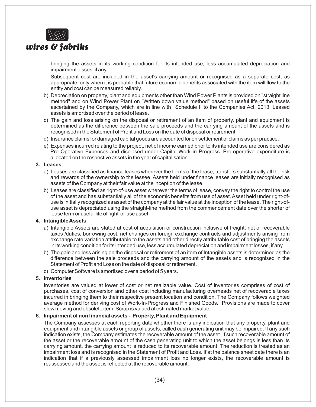

bringing the assets in its working condition for its intended use, less accumulated depreciation and impairment losses, if any.

Subsequent cost are included in the asset's carrying amount or recognised as a separate cost, as appropriate, only when it is probable that future economic benefits associated with the item will flow to the entity and cost can be measured reliably.

- b) Depreciation on property, plant and equipments other than Wind Power Plants is provided on "straight line method" and on Wind Power Plant on "Written down value method" based on useful life of the assets ascertained by the Company, which are in line with Schedule II to the Companies Act, 2013. Leased assets is amortised over the period of lease.
- c) The gain and loss arising on the disposal or retirement of an item of property, plant and equipment is determined as the difference between the sale proceeds and the carrying amount of the assets and is recognised in the Statement of Profit and Loss on the date of disposal or retirement.
- d) Insurance claims for damaged capital goods are accounted for on settlement of claims as per practice.
- e) Expenses incurred relating to the project, net of income earned prior to its intended use are considered as Pre Operative Expenses and disclosed under Capital Work in Progress. Pre-operative expenditure is allocated on the respective assets in the year of capitalisation.

#### **3. Leases**

- a) Leases are classified as finance leases wherever the terms of the lease, transfers substantially all the risk and rewards of the ownership to the lessee. Assets held under finance leases are initially recognised as assets of the Company at their fair value at the inception of the lease.
- b) Leases are classified as right-of-use asset wherever the terms of lease, convey the right to control the use of the asset and has substantially all of the economic benefits from use of asset. Asset held under right-ofuse is initially recognized as asset of the company at the fair value at the inception of the lease. The right-ofuse asset is depreciated using the straight-line method from the commencement date over the shorter of lease term or useful life of right-of-use asset.

#### **4. Intangible Assets**

- a) Intangible Assets are stated at cost of acquisition or construction inclusive of freight, net of recoverable taxes /duties, borrowing cost, net changes on foreign exchange contracts and adjustments arising from exchange rate variation attributable to the assets and other directly attributable cost of bringing the assets in its working condition for its intended use, less accumulated depreciation and impairment losses, if any.
- b) The gain and loss arising on the disposal or retirement of an item of Intangible assets is determined as the difference between the sale proceeds and the carrying amount of the assets and is recognised in the Statement of Profit and Loss on the date of disposal or retirement.
- c) Computer Software is amortised over a period of 5 years.

#### **5. Inventories**

Inventories are valued at lower of cost or net realizable value. Cost of inventories comprises of cost of purchases, cost of conversion and other cost including manufacturing overheads net of recoverable taxes incurred in bringing them to their respective present location and condition. The Company follows weighted average method for deriving cost of Work-In-Progress and Finished Goods. Provisions are made to cover slow moving and obsolete item. Scrap is valued at estimated market value.

#### **6. Impairment of non financial assets - Property, Plant and Equipment**

The Company assesses at each reporting date whether there is any indication that any property, plant and equipment and intangible assets or group of assets, called cash generating unit may be impaired. If any such indication exists, the Company estimates the recoverable amount of the asset. If such recoverable amount of the asset or the recoverable amount of the cash generating unit to which the asset belongs is less than its carrying amount, the carrying amount is reduced to its recoverable amount. The reduction is treated as an impairment loss and is recognised in the Statement of Profit and Loss. If at the balance sheet date there is an indication that if a previously assessed impairment loss no longer exists, the recoverable amount is reassessed and the asset is reflected at the recoverable amount.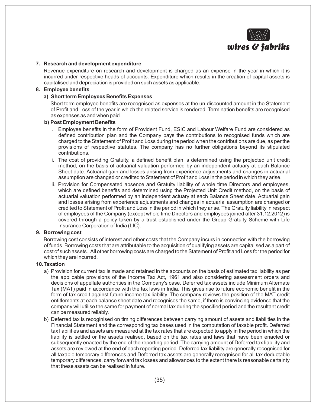

#### **7. Research and development expenditure**

Revenue expenditure on research and development is charged as an expense in the year in which it is incurred under respective heads of accounts. Expenditure which results in the creation of capital assets is capitalised and depreciation is provided on such assets as applicable.

#### **8. Employee benefits**

#### **a) Short term Employees Benefits Expenses**

Short term employee benefits are recognised as expenses at the un-discounted amount in the Statement of Profit and Loss of the year in which the related service is rendered. Termination benefits are recognised as expenses as and when paid.

#### **b) Post Employment Benefits**

- i. Employee benefits in the form of Provident Fund, ESIC and Labour Welfare Fund are considered as defined contribution plan and the Company pays the contributions to recognised funds which are charged to the Statement of Profit and Loss during the period when the contributions are due, as per the provisions of respective statutes. The company has no further obligations beyond its stipulated contributions.
- ii. The cost of providing Gratuity, a defined benefit plan is determined using the projected unit credit method, on the basis of actuarial valuation performed by an independent actuary at each Balance Sheet date. Actuarial gain and losses arising from experience adjustments and changes in actuarial assumption are changed or credited to Statement of Profit and Loss in the period in which they arise.
- iii. Provision for Compensated absence and Gratuity liability of whole time Directors and employees, which are defined benefits and determined using the Projected Unit Credit method, on the basis of actuarial valuation performed by an independent actuary at each Balance Sheet date. Actuarial gain and losses arising from experience adjustments and changes in actuarial assumption are changed or credited to Statement of Profit and Loss in the period in which they arise. The Gratuity liability in respect of employees of the Company (except whole time Directors and employees joined after 31.12.2012) is covered through a policy taken by a trust established under the Group Gratuity Scheme with Life Insurance Corporation of India (LIC).

#### **9. Borrowing cost**

Borrowing cost consists of interest and other costs that the Company incurs in connection with the borrowing of funds. Borrowing costs that are attributable to the acquisition of qualifying assets are capitalised as a part of cost of such assets. All other borrowing costs are charged to the Statement of Profit and Loss for the period for which they are incurred.

#### **10.Taxation**

- a) Provision for current tax is made and retained in the accounts on the basis of estimated tax liability as per the applicable provisions of the Income Tax Act, 1961 and also considering assessment orders and decisions of appellate authorities in the Company's case. Deferred tax assets include Minimum Alternate Tax (MAT) paid in accordance with the tax laws in India. This gives rise to future economic benefit in the form of tax credit against future income tax liability. The company reviews the position of the MAT credit entitlements at each balance sheet date and recognises the same, if there is convincing evidence that the company will utilise the same for payment of normal tax during the specified period and the resultant credit can be measured reliably.
- b) Deferred tax is recoginised on timing differences between carrying amount of assets and liabilities in the Financial Statement and the corresponding tax bases used in the computation of taxable profit. Deferred tax liabilities and assets are measured at the tax rates that are expected to apply in the period in which the liability is settled or the assets realised, based on the tax rates and laws that have been enacted or subsequently enacted by the end of the reporting period. The carrying amount of Deferred tax liability and assets are reviewed at the end of each reporting period. Deferred tax liability are generally recognised for all taxable temporary differences and Deferred tax assets are generally recognised for all tax deductable temporary differences, carry forward tax losses and allowances to the extent there is reasonable certainty that these assets can be realised in future.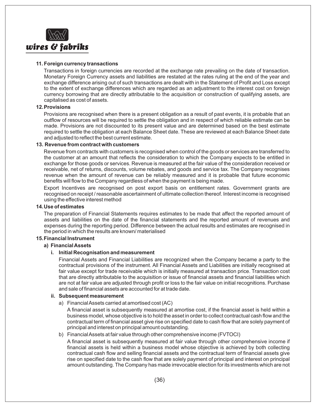

#### **11. Foreign currency transactions**

Transactions in foreign currencies are recorded at the exchange rate prevailing on the date of transaction. Monetary Foreign Currency assets and liabilities are restated at the rates ruling at the end of the year and exchange difference arising out of such transactions are dealt with in the Statement of Profit and Loss except to the extent of exchange differences which are regarded as an adjustment to the interest cost on foreign currency borrowing that are directly attributable to the acquisition or construction of qualifying assets, are capitalised as cost of assets.

#### **12.Provisions**

Provisions are recognised when there is a present obligation as a result of past events, it is probable that an outflow of resources will be required to settle the obligation and in respect of which reliable estimate can be made. Provisions are not discounted to its present value and are determined based on the best estimate required to settle the obligation at each Balance Sheet date. These are reviewed at each Balance Sheet date and adjusted to reflect the best current estimate.

#### **13. Revenue from contract with customers**

Revenue from contracts with customers is recognised when control of the goods or services are transferred to the customer at an amount that reflects the consideration to which the Company expects to be entitled in exchange for those goods or services. Revenue is measured at the fair value of the consideration received or receivable, net of returns, discounts, volume rebates, and goods and service tax. The Company recognises revenue when the amount of revenue can be reliably measured and it is probable that future economic benefits will flow to the Company regardless of when the payment is being made.

Export Incentives are recognised on post export basis on entitlement rates. Government grants are recognised on receipt / reasonable ascertainment of ultimate collection thereof. Interest income is recognised using the effective interest method

#### **14.Use of estimates**

The preparation of Financial Statements requires estimates to be made that affect the reported amount of assets and liabilities on the date of the financial statements and the reported amount of revenues and expenses during the reporting period. Difference between the actual results and estimates are recognised in the period in which the results are known/ materialised

#### **15.Financial Instrument**

#### **a) Financial Assets**

#### **i. Initial Recognisation and measurement**

Financial Assets and Financial Liabilities are recognized when the Company became a party to the contractual provisions of the instrument. All Financial Assets and Liabilities are initially recognised at fair value except for trade receivable which is initially measured at transaction price. Transaction cost that are directly attributable to the acquisition or issue of financial assets and financial liabilities which are not at fair value are adjusted through profit or loss to the fair value on initial recognitions. Purchase and sale of financial assets are accounted for at trade date.

#### **ii. Subsequent measurement**

a) Financial Assets carried at amortised cost (AC)

A financial asset is subsequently measured at amortise cost, if the financial asset is held within a business model, whose objective is to hold the asset in order to collect contractual cash flow and the contractual term of financial asset give rise on specified date to cash flow that are solely payment of principal and interest on principal amount outstanding.

#### b) Financial Assets at fair value through other comprehensive income (FVTOCI)

A financial asset is subsequently measured at fair value through other comprehensive income if financial assets is held within a business model whose objective is achieved by both collecting contractual cash flow and selling financial assets and the contractual term of financial assets give rise on specified date to the cash flow that are solely payment of principal and interest on principal amount outstanding. The Company has made irrevocable election for its investments which are not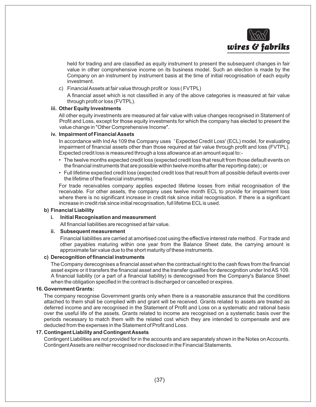

held for trading and are classified as equity instrument to present the subsequent changes in fair value in other comprehensive income on its business model. Such an election is made by the Company on an instrument by instrument basis at the time of initial recognisation of each equity investment.

c) Financial Assets at fair value through profit or loss ( FVTPL)

A financial asset which is not classified in any of the above categories is measured at fair value through profit or loss (FVTPL).

#### **iii. Other Equity Investments**

All other equity investments are measured at fair value with value changes recognised in Statement of Profit and Loss, except for those equity investments for which the company has elected to present the value change in "Other Comprehensive Income".

#### **iv. Impairment of Financial Assets**

In accordance with Ind As 109 the Company uses ' Expected Credit Loss' (ECL) model, for evaluating impairment of financial assets other than those required at fair value through profit and loss (FVTPL). Expected credit loss is measured through a loss allowance at an amount equal to:-

- The twelve months expected credit loss (expected credit loss that result from those default events on the financial instruments that are possible within twelve months after the reporting date) ; or
- Full lifetime expected credit loss (expected credit loss that result from all possible default events over the lifetime of the financial instruments).

For trade receivables company applies expected lifetime losses from initial recognisation of the receivable. For other assets, the company uses twelve month ECL to provide for impairment loss where there is no significant increase in credit risk since initial recognisation. If there is a significant increase in credit risk since initial recognisation, full lifetime ECL is used.

#### **b) Financial Liability**

#### **i. Initial Recognisation and measurement**

All financial liabilities are recognised at fair value.

#### **ii. Subsequent measurement**

Financial liabilities are carried at amortised cost using the effective interest rate method. For trade and other payables maturing within one year from the Balance Sheet date, the carrying amount is approximate fair value due to the short maturity of these instruments.

#### **c) Derecognition of financial instruments**

The Company derecognises a financial asset when the contractual right to the cash flows from the financial asset expire or it transfers the financial asset and the transfer qualifies for derecognition under Ind AS 109. A financial liability (or a part of a financial liability) is derecognised from the Company's Balance Sheet when the obligation specified in the contract is discharged or cancelled or expires.

#### **16. Government Grants:**

The company recognise Government grants only when there is a reasonable assurance that the conditions attached to them shall be complied with and grant will be received. Grants related to assets are treated as deferred income and are recognised in the Statement of Profit and Loss on a systematic and rational basis over the useful life of the assets. Grants related to income are recognised on a systematic basis over the periods necessary to match them with the related cost which they are intended to compensate and are deducted from the expenses in the Statement of Profit and Loss.

#### **17. Contingent Liability and Contingent Assets**

Contingent Liabilities are not provided for in the accounts and are separately shown in the Notes on Accounts. Contingent Assets are neither recognised nor disclosed in the Financial Statements.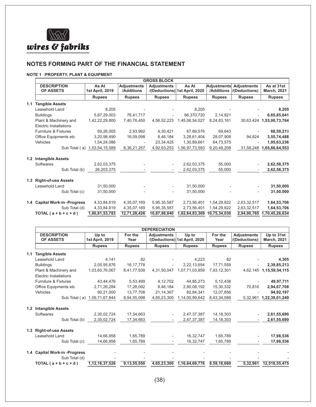

#### **NOTE 1 :PROPERTY, PLANT & EQUIPMENT**

|     |                                        |                              |                                  | <b>GROSS BLOCK</b> |                                        |                                  |                                     |                                  |
|-----|----------------------------------------|------------------------------|----------------------------------|--------------------|----------------------------------------|----------------------------------|-------------------------------------|----------------------------------|
|     | <b>DESCRIPTION</b><br><b>OF ASSETS</b> | As At<br>1st April, 2019     | <b>Adjustments</b><br>/Additions | <b>Adjustments</b> | As At<br>/(Deductions) 1st April, 2020 | <b>Adjustments</b><br>/Additions | <b>Adjustments</b><br>/(Deductions) | As at 31st<br><b>March, 2021</b> |
|     |                                        | <b>Rupees</b>                | <b>Rupees</b>                    | <b>Rupees</b>      | <b>Rupees</b>                          | <b>Rupees</b>                    | <b>Rupees</b>                       | <b>Rupees</b>                    |
| 1.1 | <b>Tangible Assets</b>                 |                              |                                  |                    |                                        |                                  |                                     |                                  |
|     | Leasehold Land                         | 8,205                        |                                  |                    | 8,205                                  |                                  |                                     | 8,205                            |
|     | <b>Buildings</b>                       | 5,87,29,003                  | 76,41,717                        |                    | 66,370,720                             | 2,14,921                         |                                     | 6,65,85,641                      |
|     | Plant & Machinery and                  | 1,42,22,29,800               | 7,40,76,450                      | 4,56,52,223        | 1,45,06,54,027                         | 8,24,83,161                      |                                     | 30,63,424 1,53,00,73,764         |
|     | <b>Electric Installations</b>          |                              |                                  |                    |                                        |                                  |                                     |                                  |
|     | <b>Furniture &amp; Fixtures</b>        | 69,26,005                    | 2,93,992                         | 4,30,421           | 67,89,576                              | 69,643                           |                                     | 68,59,219                        |
|     | Office Equipments etc                  | 3,20,98,490                  | 16,09,098                        | 8,46,184           | 3,28,61,404                            | 28,07,908                        | 94,824                              | 3,55,74,488                      |
|     | Vehicles                               | 1,54,24,086                  | $\overline{\phantom{a}}$         | 23, 34, 425        | 1,30,89,661                            | 64,73,575                        |                                     | 1,95,63,236                      |
|     |                                        | Sub Total (a) 1,53,54,15,589 | 8,36,21,257                      | 4,92,63,253        | 1,56,97,73,593                         | 9,20,49,208                      |                                     | 31,58,248 1,65,86,64,553         |
|     |                                        |                              |                                  |                    |                                        |                                  |                                     |                                  |
| 1.2 | <b>Intangible Assets</b>               |                              |                                  |                    |                                        |                                  |                                     |                                  |
|     | Softwares                              | 2,62,03,375                  |                                  |                    | 2,62,03,375                            | 55,000                           |                                     | 2,62,58,375                      |
|     | Sub Total (b)                          | 26,203,375                   |                                  |                    | 2,62,03,375                            | 55,000                           |                                     | 2,62,58,375                      |
|     |                                        |                              |                                  |                    |                                        |                                  |                                     |                                  |
| 1.3 | <b>Right-of-use Assets</b>             |                              |                                  |                    |                                        |                                  |                                     |                                  |
|     | Leasehold Land                         | 31,50,000                    |                                  |                    | 31,50,000                              |                                  |                                     | 31,50,000                        |
|     | Sub Total (c)                          | 31,50,000                    |                                  | ٠                  | 31,50,000                              |                                  |                                     | 31,50,000                        |
|     |                                        |                              |                                  |                    |                                        |                                  |                                     |                                  |
| 1.4 | <b>Capital Work-in -Progress</b>       | 4,33,84,819                  | 4,35,07,169                      | 5,95,35,587        | 2,73,56,401                            | 1,54,29,822                      | 2,63,32,517                         | 1,64,53,706                      |
|     | Sub Total (d)                          | 4,33,84,819                  | 4,35,07,169                      | 5,95,35,587        | 2,73,56,401                            | 1,54,29,822                      | 2,63,32,517                         | 1,64,53,706                      |
|     | TOTAL $(a + b + c + d)$                | 1,60,81,53,783               | 12,71,28,426                     | 10,87,98,840       | 1,62,64,83,369                         | 10,75,34,030                     | 2,94,90,765                         | 1,70,45,26,634                   |

|     |                                        |                              |                 | <b>DEPERECIATION</b> |                                        |                 |                                     |                                  |
|-----|----------------------------------------|------------------------------|-----------------|----------------------|----------------------------------------|-----------------|-------------------------------------|----------------------------------|
|     | <b>DESCRIPTION</b><br><b>OF ASSETS</b> | Up to<br>1st April, 2019     | For the<br>Year | <b>Adjustments</b>   | Up to<br>/(Deductions) 1st April, 2020 | For the<br>Year | <b>Adjustments</b><br>/(Deductions) | Up to 31st<br><b>March, 2021</b> |
|     |                                        | <b>Rupees</b>                | <b>Rupees</b>   | <b>Rupees</b>        | <b>Rupees</b>                          | <b>Rupees</b>   | <b>Rupees</b>                       | <b>Rupees</b>                    |
| 1.1 | <b>Tangible Assets</b>                 |                              |                 |                      |                                        |                 |                                     |                                  |
|     | Leasehold Land                         | 4,141                        | 82              |                      | 4,223                                  | 82              |                                     | 4,305                            |
|     | <b>Buildings</b>                       | 2,05,95,876                  | 16, 17, 778     |                      | 2,22,13,654                            | 17,71,559       |                                     | 2,39,85,213                      |
|     | Plant & Machinery and                  | 1,03,60,76,067               | 8,41,77,939     | 4,31,50,047          | 1,07,71,03,959                         | 7,93,12,301     |                                     | 4,62,145 1,15,59,54,115          |
|     | Electric Installations                 |                              |                 |                      |                                        |                 |                                     |                                  |
|     | Furniture & Fixtures                   | 43,44,476                    | 5,53,499        | 4,12,702             | 44,85,273                              | 5,12,438        |                                     | 49,97,711                        |
|     | Office Equipments etc                  | 2,71,26,284                  | 17,28,092       | 8,46,184             | 2,80,08,192                            | 15,30,332       | 70,816                              | 2,94,67,708                      |
|     | Vehicles                               | 90,21,000                    | 13,77,708       | 21,14,367            | 82,84,341                              | 12,07,856       |                                     | 94,92,197                        |
|     |                                        | Sub Total (a) 1,09,71,67,844 | 8,94,55,098     | 4,65,23,300          | 1,14,00,99,642                         | 8,43,34,568     |                                     | 5,32,961 1,22,39,01,249          |
| 1.2 | <b>Intangible Assets</b>               |                              |                 |                      |                                        |                 |                                     |                                  |
|     | Softwares                              | 2,30,02,724                  | 17,34,663       |                      | 2,47,37,387                            | 14, 18, 303     |                                     | 2,61,55,690                      |
|     | Sub Total (b)                          | 2,30,02,724                  | 17,34,663       |                      | 2,47,37,387                            | 14, 18, 303     |                                     | 2,61,55,690                      |
| 1.3 | <b>Right-of-use Assets</b>             |                              |                 |                      |                                        |                 |                                     |                                  |
|     | Leasehold Land                         | 14,66,958                    | 1,65,789        |                      | 16,32,747                              | 1,65,789        |                                     | 17,98,536                        |
|     | Sub Total (c)                          | 14,66,958                    | 1,65,789        |                      | 16,32,747                              | 1,65,789        |                                     | 17,98,536                        |
|     | 1.4 Capital Work-in -Progress          |                              |                 |                      |                                        |                 |                                     |                                  |
|     | Sub Total (d)                          |                              |                 |                      |                                        |                 |                                     |                                  |
|     | TOTAL $(a + b + c + d)$                | 1,12,16,37,526               | 9,13,55,550     | 4,65,23,300          | 1,16,64,69,776                         | 8,59,18,660     | 5,32,961                            | 12,518,55,475                    |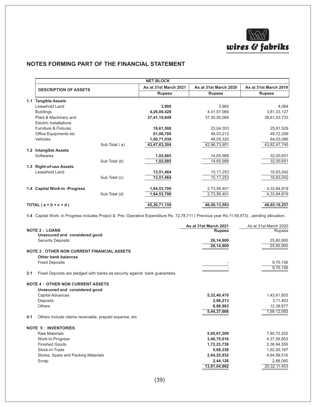

|     |                               |               | <b>NET BLOCK</b>      |                       |                       |
|-----|-------------------------------|---------------|-----------------------|-----------------------|-----------------------|
|     | <b>DESCRIPTION OF ASSETS</b>  |               | As at 31st March 2021 | As at 31st March 2020 | As at 31st March 2019 |
|     |                               |               | <b>Rupees</b>         | <b>Rupees</b>         | <b>Rupees</b>         |
| 1.1 | <b>Tangible Assets</b>        |               |                       |                       |                       |
|     | Leasehold Land                |               | 3,900                 | 3,982                 | 4,064                 |
|     | <b>Buildings</b>              |               | 4,26,00,428           | 4,41,57,066           | 3,81,33,127           |
|     | Plant & Machinery and         |               | 37,41,19,649          | 37, 35, 50, 068       | 38,61,53,733          |
|     | Electric Installations        |               |                       |                       |                       |
|     | Furniture & Fixtures          |               | 18,61,508             | 23,04,303             | 25,81,529             |
|     | Office Equipments etc         |               | 61,06,780             | 48,53,212             | 49,72,206             |
|     | Vehicles                      |               | 1,00,71,039           | 48,05,320             | 64,03,086             |
|     |                               | Sub Total (a) | 43,47,63,304          | 42,96,73,951          | 43,82,47,745          |
| 1.2 | <b>Intangible Assets</b>      |               |                       |                       |                       |
|     | Softwares                     |               | 1,02,685              | 14,65,988             | 32,00,651             |
|     |                               | Sub Total (b) | 1,02,685              | 14,65,988             | 32,00,651             |
| 1.3 | <b>Right-of-use Assets</b>    |               |                       |                       |                       |
|     | Leasehold Land                |               | 13,51,464             | 15, 17, 253           | 16,83,042             |
|     |                               | Sub Total (c) | 13,51,464             | 15, 17, 253           | 16,83,042             |
|     | 1.4 Capital Work-in -Progress |               | 1,64,53,706           | 2,73,56,401           | 4,33,84,819           |
|     |                               | Sub Total (d) | 1,64,53,706           | 2,73,56,401           | 4,33,84,819           |
|     |                               |               |                       |                       |                       |
|     | TOTAL $(a + b + c + d)$       |               | 45,26,71,159          | 46,00,13,593          | 48,65,16,257          |

**1.4** Capital Work- in Progress includes Project & Pre- Operative Expenditure Rs. 72,78,711 ( Previous year Rs.11,59,973) , pending allocation.

|     |                                                                           | As at 31st March 2021 | As at 31st March 2020 |
|-----|---------------------------------------------------------------------------|-----------------------|-----------------------|
|     | <b>NOTE 2: LOANS</b>                                                      | <b>Rupees</b>         | <b>Rupees</b>         |
|     | Unsecured and considered good                                             |                       |                       |
|     | <b>Security Deposits</b>                                                  | 26,14,900             | 25,60,900             |
|     |                                                                           | 26,14,900             | 25,60,900             |
|     | <b>NOTE 3: OTHER NON CURRENT FINANCIAL ASSETS</b>                         |                       |                       |
|     | Other bank balances                                                       |                       |                       |
|     | <b>Fixed Deposits</b>                                                     |                       | 9,70,106              |
|     |                                                                           |                       | 9,70,106              |
| 3.1 | Fixed Deposits are pledged with banks as security against bank guarantees |                       |                       |
|     | <b>NOTE 4: OTHER NON CURRENT ASSETS</b>                                   |                       |                       |
|     | Unsecured and considered good                                             |                       |                       |
|     | Capital Advances                                                          | 5,32,40,470           | 1,43,61,803           |
|     | Deposits                                                                  | 2,98,213              | 3,11,403              |
|     | Others                                                                    | 8,98,983              | 12,38,877             |
|     |                                                                           | 5,44,37,666           | 1,59,12,083           |
| 4.1 | Others Include claims receivable, prepaid expense, etc.                   |                       |                       |
|     | <b>NOTE 5: INVENTORIES</b>                                                |                       |                       |
|     | Raw Materials                                                             | 5,95,67,209           | 7,85,72,252           |
|     | Work-In-Progress                                                          | 3,46,75,616           | 4,37,56,853           |
|     | <b>Finished Goods</b>                                                     | 1,72,23,739           | 2,38,94,555           |
|     | Stock-in-Trade                                                            | 9,68,238              | 1,02,00,167           |
|     | Stores, Spare and Packing Materials                                       | 2,64,25,932           | 4,64,99,516           |
|     | Scrap                                                                     | 2,44,128              | 2,88,060              |
|     |                                                                           | 13,91,04,862          | 20, 32, 11, 403       |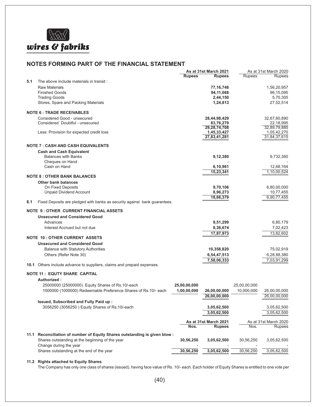

|     |                                                                            |               | As at 31st March 2021 |               | As at 31st March 2020 |
|-----|----------------------------------------------------------------------------|---------------|-----------------------|---------------|-----------------------|
|     |                                                                            | <b>Rupees</b> | <b>Rupees</b>         | <b>Rupees</b> | Rupees                |
| 5.1 | The above include materials in transit :                                   |               |                       |               |                       |
|     | <b>Raw Materials</b>                                                       |               | 77, 16, 748           |               | 1,56,20,957           |
|     | <b>Finished Goods</b>                                                      |               | 94,11,068             |               | 96,15,095             |
|     | <b>Trading Goods</b>                                                       |               | 2,44,150              |               | 5,70,305              |
|     | Stores, Spare and Packing Materials                                        |               | 1,24,813              |               | 27,52,514             |
|     | <b>NOTE 6: TRADE RECEIVABLES</b>                                           |               |                       |               |                       |
|     | Considered Good - unsecured                                                |               | 28,44,98,429          |               | 32,67,60,890          |
|     | Considered Doubtful - unsecured                                            |               | 83,76,279             |               | 22,18,995             |
|     |                                                                            |               | 29, 28, 74, 708       |               | 32,89,79,885          |
|     | Less: Provision for expected credit loss                                   |               | 1,45,33,427           |               | 1,05,42,270           |
|     |                                                                            |               | 27,83,41,281          |               | 31,84,37,615          |
|     | <b>NOTE 7: CASH AND CASH EQUIVALENTS</b>                                   |               |                       |               |                       |
|     | <b>Cash and Cash Equivalent</b>                                            |               |                       |               |                       |
|     | <b>Balances with Banks</b>                                                 |               | 9,12,380              |               | 9,732,360             |
|     | Cheques on Hand                                                            |               |                       |               |                       |
|     | Cash on Hand                                                               |               | 6,10,961              |               | 12,68,164             |
|     |                                                                            |               | 15,23,341             |               | 1,10,00,524           |
|     | <b>NOTE 8: OTHER BANK BALANCES</b>                                         |               |                       |               |                       |
|     | <b>Other bank balances</b>                                                 |               |                       |               |                       |
|     | On Fixed Deposits                                                          |               | 9,70,106              |               | 6,80,00,000           |
|     | <b>Unpaid Dividend Account</b>                                             |               | 8,96,273              |               | 10,77,455             |
| 8.1 | Fixed Deposits are pledged with banks as security against bank guarantees. |               | 18,66,379             |               | 6,90,77,455           |
|     | <b>NOTE 9: OTHER CURRENT FINANCIAL ASSETS</b>                              |               |                       |               |                       |
|     | <b>Unsecured and Considered Good</b>                                       |               |                       |               |                       |
|     | Advances                                                                   |               | 9,51,299              |               | 6,80,179              |
|     | Interest Accrued but not due                                               |               | 8,36,674              |               | 7,02,423              |
|     |                                                                            |               | 17,87,973             |               | 13.82.602             |
|     | <b>NOTE 10: OTHER CURRENT ASSETS</b>                                       |               |                       |               |                       |
|     | <b>Unsecured and Considered Good</b>                                       |               |                       |               |                       |
|     | <b>Balance with Statutory Authorities</b>                                  |               | 10,358,820            |               | 75,02,919             |
|     | Others (Refer Note 30)                                                     |               | 6,54,47,513           |               | 6,28,88,380           |
|     |                                                                            |               | 7,58,06,333           |               | 7,03,91,299           |
|     | 10.1 Others include advance to suppliers, claims and prepaid expenses.     |               |                       |               |                       |
|     | <b>NOTE 11: EQUTY SHARE CAPITAL</b>                                        |               |                       |               |                       |
|     | Authorized:                                                                |               |                       |               |                       |
|     | 25000000 (25000000) Equity Shares of Rs.10/-each                           | 25,00,00,000  |                       | 25,00,00,000  |                       |
|     | 1000000 (1000000) Redeemable Preference Shares of Rs.10/- each             | 1,00,00,000   | 26,00,00,000          | 10,000,000    | 26,00,00,000          |
|     |                                                                            |               | 26,00,00,000          |               | 26,00,00,000          |
|     | Issued, Subscribed and Fully Paid up:                                      |               |                       |               |                       |
|     | 3056250 (3056250) Equity Shares of Rs.10/-each                             |               | 3,05,62,500           |               | 3,05,62,500           |
|     |                                                                            |               | 3,05,62,500           |               | 3,05,62,500           |
|     |                                                                            |               |                       |               |                       |
|     |                                                                            |               | As at 31st March 2021 |               | As at 31st March 2020 |
|     |                                                                            | Nos.          | <b>Rupees</b>         | Nos.          | <b>Rupees</b>         |
|     | 11.1 Reconciliation of number of Equity Shares outstanding is given blow : |               |                       |               |                       |
|     | Shares outstanding at the beginning of the year                            | 30,56,250     | 3,05,62,500           | 30,56,250     | 3,05,62,500           |
|     | Change during the year                                                     |               |                       |               |                       |
|     | Shares outstanding at the end of the year                                  | 30,56,250     | 3,05,62,500           | 30,56,250     | 3,05,62,500           |
|     |                                                                            |               |                       |               |                       |

#### **11.2 Rights attached to Equity Shares**

The Company has only one class of shares (issued), having face value of Rs. 10/- each. Each holder of Equity Shares is entitled to one vote per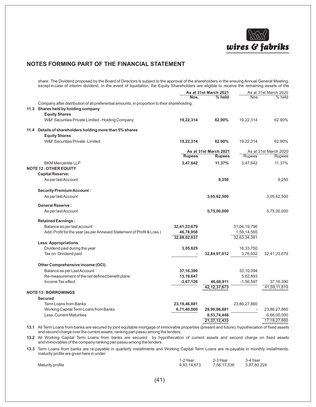

share. The Dividend proposed by the Board of Directors is subject to the approval of the shareholders in the ensuing Annual General Meeting, except in case of interim dividend. In the event of liquidation, the Equity Shareholders are eligible to receive the remaining assets of the

|                                                                                              |                 | As at 31st March 2021 |              | As at 31st March 2020 |
|----------------------------------------------------------------------------------------------|-----------------|-----------------------|--------------|-----------------------|
|                                                                                              | Nos.            | % held                | Nos.         | % held                |
| Company after distribution of all preferential amounts, in proportion to their shareholding. |                 |                       |              |                       |
| 11.3 Shares held by holding company                                                          |                 |                       |              |                       |
| <b>Equity Shares</b>                                                                         |                 |                       |              |                       |
| W&F Securities Private Limited - Holding Company                                             | 19,22,314       | 62.90%                | 19,22,314    | 62.90%                |
| 11.4 Details of shareholders holding more than 5% shares                                     |                 |                       |              |                       |
| <b>Equity Shares</b>                                                                         |                 |                       |              |                       |
| <b>W&amp;F Securities Private Limited</b>                                                    | 19,22,314       | 62.90%                | 19,22,314    | 62.90%                |
|                                                                                              |                 | As at 31st March 2021 |              | As at 31st March 2020 |
|                                                                                              | <b>Rupees</b>   | <b>Rupees</b>         | Rupees       | Rupees                |
| <b>BKM Mercantile LLP</b>                                                                    | 3,47,642        | 11.37%                | 3,47,642     | 11.37%                |
| <b>NOTE 12: OTHER EQUITY</b>                                                                 |                 |                       |              |                       |
| <b>Capital Reserve:</b>                                                                      |                 |                       |              |                       |
| As per last Account                                                                          |                 | 9,250                 |              | 9,250                 |
| <b>Security Premium Account:</b>                                                             |                 |                       |              |                       |
| As per last Account                                                                          |                 | 3,05,62,500           |              | 3,05,62,500           |
| <b>General Reserve:</b>                                                                      |                 |                       |              |                       |
| As per last Account                                                                          |                 | 5,75,00,000           |              | 5,75,00,000           |
|                                                                                              |                 |                       |              |                       |
| <b>Retained Earnings:</b>                                                                    |                 |                       |              |                       |
| Balance as per last account                                                                  | 32,41,23,679    |                       | 31,04,19,796 |                       |
| Add: Profit for the year (as per Annexed Statement of Profit & Loss)                         | 46,78,958       |                       | 1,59,14,565  |                       |
|                                                                                              | 32,88,02,637    |                       | 32,63,34,361 |                       |
| <b>Less: Appropriations</b>                                                                  |                 |                       |              |                       |
| Dividend paid during the year                                                                | 3,05,625        |                       | 18,33,750    |                       |
| Tax on Dividend paid                                                                         |                 | 32,84,97,012          | 3,76,932     | 32,41,23,679          |
| Other Comprehensive income (OCI)                                                             |                 |                       |              |                       |
| Balance as per Last Account                                                                  | 37, 16, 390     |                       | 33,10,094    |                       |
| Re-measurement of the net defined benefit plans                                              | 13,19,647       |                       | 5,62,893     |                       |
| Income Tax effect                                                                            | $-3,67,126$     | 46,68,911             | $-1,56,597$  | 37, 16, 390           |
|                                                                                              |                 | 42, 12, 37, 673       |              | 41,59,11,819          |
| <b>NOTE 13: BORROWINGS</b>                                                                   |                 |                       |              |                       |
| <b>Secured</b>                                                                               |                 |                       |              |                       |
| <b>Term Loans from Banks</b>                                                                 | 23, 19, 46, 881 |                       | 23,86,27,860 |                       |
| Working Capital Term Loans from Banks                                                        | 6,71,40,000     | 29,90,86,881          |              | 23,86,27,860          |
| Less: Current Maturities                                                                     |                 | 8,53,74,448           |              | 6,68,00,000           |
|                                                                                              |                 | 21,37,12,433          |              | 17, 18, 27, 860       |

**13.1** All Term Loans from banks are secured by joint equitable mortgage of immovable properties (present and future), hypothecation of fixed assets and second charge over the current assets, ranking pari passu among the lenders.

**13.2** All Working Capital Term Loans from banks are secured by hypothecation of current assets and second charge on fixed assets and immovables of the company ranking pari passu among the lenders.

**13.3** Term Loans from banks are re-payable in quarterly installments and Working Capital Term Loans are re-payable in monthly installments, maturity profile are given here in under:

| Maturity profile | 1-2 Year<br>9.93.14.673 | 2-3 Year<br>7.56.17.536 3.87.80.224 | 3-4 Year |
|------------------|-------------------------|-------------------------------------|----------|
|                  |                         |                                     |          |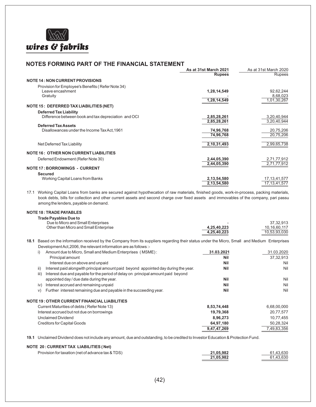

|                                                      | As at 31st March 2021 | As at 31st March 2020 |
|------------------------------------------------------|-----------------------|-----------------------|
|                                                      | <b>Rupees</b>         | Rupees                |
| <b>NOTE 14: NON CURRENT PROVISIONS</b>               |                       |                       |
| Provision for Employee's Benefits (Refer Note 34)    |                       |                       |
| Leave encashment                                     | 1,28,14,549           | 92,62,244             |
| Gratuity                                             |                       | 8,68,023              |
|                                                      | 1,28,14,549           | 1,01,30,267           |
| <b>NOTE 15: DEFERRED TAX LIABILITIES (NET)</b>       |                       |                       |
| <b>Deferred Tax Liability</b>                        |                       |                       |
| Difference between book and tax depreciation and OCI | 2,85,28,261           | 3,20,40,944           |
|                                                      | 2,85,28,261           | 3,20,40,944           |
| <b>Deferred Tax Assets</b>                           |                       |                       |
| Disallowances under the Income Tax Act, 1961         | 74,96,768             | 20,75,206             |
|                                                      | 74,96,768             | 20,75,206             |
| Net Deferred Tax Liability                           | 2,10,31,493           | 2,99,65,738           |
| <b>NOTE 16: OTHER NON CURRENT LIABILITIES</b>        |                       |                       |
| Deferred Endowment (Refer Note 30)                   | 2,44,05,390           | 2,71,77,912           |
|                                                      | 2,44,05,390           | 2,71,77,912           |
| <b>NOTE 17: BORROWINGS - CURRENT</b>                 |                       |                       |
| <b>Secured</b>                                       |                       |                       |
| Working Capital Loans from Banks                     | 2,13,54,580           | 17, 13, 41, 577       |
|                                                      | 2,13,54,580           | 17, 13, 41, 577       |

17.1 Working Capital Loans from banks are secured against hypothecation of raw materials, finished goods, work-in-process, packing materials, book debts, bills for collection and other current assets and second charge over fixed assets and immovables of the company, pari passu among the lenders, payable on demand.

#### **NOTE 18 : TRADE PAYABLES**

| Trade Pavables Due to                 |             |              |
|---------------------------------------|-------------|--------------|
| Due to Micro and Small Enterprises    |             | 37.32.913    |
| Other than Micro and Small Enterprise | 4.25.40.223 | 10.16.60.117 |
|                                       | 4.25.40.223 | 10.53.93.030 |
|                                       |             |              |

**18.1** Based on the information received by the Company from its suppliers regarding their status under the Micro, Small and Medium Enterprises Development Act,2006, the relevant information are as follows :-

| Amount due to Micro, Small and Medium Enterprises (MSME):<br>i)                            | 31.03.2021  | 31.03.2020  |
|--------------------------------------------------------------------------------------------|-------------|-------------|
| Principal amount                                                                           | Nil         | 37.32.913   |
| Interest due on above and unpaid                                                           | Nil         | Nil         |
| Interest paid alongwith principal amount paid beyond appointed day during the year.<br>ii) | Nil         | Nil         |
| Interest due and payable for the period of delay on principal amount paid beyond<br>iii)   |             |             |
| appointed day / due date during the year.                                                  | Nil         | Nil         |
| Interest accrued and remaining unpaid<br>iv)                                               | Nil         | Nil         |
| Further interest remaining due and payable in the succeeding year.<br>V)                   | Nil         | Nil         |
| NOTE 19 : OTHER CURRENT FINANCIAL LIABILITIES                                              |             |             |
| Current Maturities of debts (Refer Note 13)                                                | 8,53,74,448 | 6,68,00,000 |
| Interest accrued but not due on borrowings                                                 | 19.79.368   | 20.77.577   |
| <b>Unclaimed Dividend</b>                                                                  | 8.96.273    | 10.77.455   |
| <b>Creditors for Capital Goods</b>                                                         | 64,97,180   | 50,28,324   |
|                                                                                            | 9,47,47,269 | 7.49.83.356 |

**19.1** Unclaimed Dividend does not include any amount, due and outstanding, to be credited to Investor Education & Protection Fund.

| <b>NOTE 20: CURRENT TAX LIABILITIES (Net)</b>     |                        |                        |
|---------------------------------------------------|------------------------|------------------------|
| Provision for taxation (net of advance tax & TDS) | 21,05,982<br>21.05.982 | 61.43.630<br>61.43.630 |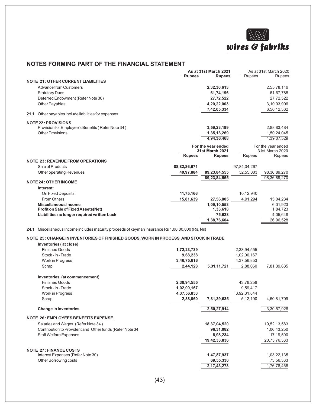

|                                                          |               | As at 31st March 2021  |               | As at 31st March 2020 |
|----------------------------------------------------------|---------------|------------------------|---------------|-----------------------|
|                                                          | <b>Rupees</b> | <b>Rupees</b>          | <b>Rupees</b> | <b>Rupees</b>         |
| <b>NOTE 21: OTHER CURRENT LIABILITIES</b>                |               |                        |               |                       |
| <b>Advance from Customers</b>                            |               | 2,32,36,613            |               | 2,55,78,146           |
| <b>Statutory Dues</b>                                    |               | 61,74,196              |               | 61,67,788             |
| Deferred Endowment (Refer Note 30)                       |               | 27,72,522              |               | 27,72,522             |
| <b>Other Payables</b>                                    |               | 4,20,22,003            |               | 3,10,93,906           |
|                                                          |               | 7,42,05,334            |               | 6,56,12,362           |
| Other payables include liabilities for expenses.<br>21.1 |               |                        |               |                       |
| <b>NOTE 22: PROVISIONS</b>                               |               |                        |               |                       |
| Provision for Employee's Benefits (Refer Note 34)        |               | 3,59,23,199            |               | 2,88,83,484           |
| <b>Other Provisions</b>                                  |               | 1,35,13,269            |               | 1,50,24,045           |
|                                                          |               | 4.94.36.468            |               | 4,39,07,529           |
|                                                          |               | For the year ended     |               | For the year ended    |
|                                                          |               | <b>31st March 2021</b> |               | 31st March 2020       |
|                                                          | <b>Rupees</b> | <b>Rupees</b>          | Rupees        | <b>Rupees</b>         |
| <b>NOTE 23: REVENUE FROM OPERATIONS</b>                  |               |                        |               |                       |
| Sale of Products                                         | 88,82,86,671  |                        | 97,84,34,267  |                       |
| Other operating Revenues                                 | 40.97.884     | 89,23,84,555           | 52,55,003     | 98, 36, 89, 270       |
|                                                          |               | 89,23,84,555           |               | 98.36.89.270          |
| <b>NOTE 24: OTHER INCOME</b>                             |               |                        |               |                       |
| Interest:                                                |               |                        |               |                       |
| On Fixed Deposits                                        | 11,75,166     |                        | 10,12,940     |                       |
| From Others                                              | 15,81,639     | 27,56,805              | 4,91,294      | 15,04,234             |
| <b>Miscellaneous Income</b>                              |               | 1,09,10,553            |               | 6.01.923              |
| <b>Profit on Sale of Fixed Assets (Net)</b>              |               | 1,33,618               |               | 1,84,723              |
| Liabilities no longer required written back              |               | 75,628                 |               | 4,05,648              |
|                                                          |               | 1,38,76,604            |               | 26,96,528             |

**24.1** Miscellaneous Income includes maturity proceeds of keyman insurance Rs 1,00,00,000 (Rs. Nil)

#### **NOTE 25 : CHANGE IN INVENTORIES OF FINISHED GOODS, WORK IN PROCESS AND STOCK IN TRADE**

| 1,72,23,739 |                | 2,38,94,555 |                |
|-------------|----------------|-------------|----------------|
| 9,68,238    |                | 1,02,00,167 |                |
| 3,46,75,616 |                | 4,37,56,853 |                |
| 2,44,128    | 5,31,11,721    | 2,88,060    | 7,81,39,635    |
|             |                |             |                |
| 2,38,94,555 |                | 43,78,258   |                |
| 1,02,00,167 |                | 9,59,417    |                |
| 4,37,56,853 |                | 3,92,31,844 |                |
| 2,88,060    | 7,81,39,635    | 5,12,190    | 4,50,81,709    |
|             | 2,50,27,914    |             | $-3,30,57,926$ |
|             |                |             |                |
|             | 18,37,04,520   |             | 19,52,13,583   |
|             | 96,31,082      |             | 1,06,43,250    |
|             | 8,98,234       |             | 17,19,500      |
|             | 19,42,33,836   |             | 20,75,76,333   |
|             |                |             |                |
|             | 1,47,87,937    |             | 1,03,22,135    |
|             | 69,55,336      |             | 73,56,333      |
|             | 2, 17, 43, 273 |             | 1,76,78,468    |
|             |                |             |                |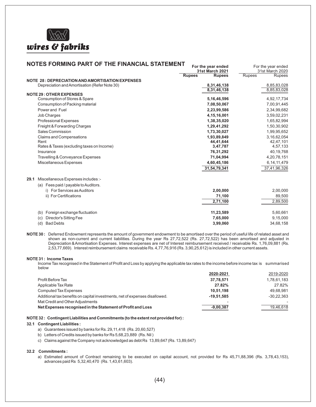

## <code>NOTES FORMING PART OF THE FINANCIAL STATEMENT</code> For the year ended

| NOTES FORMING PART OF THE FINANCIAL STATEMENT                                                           |               | For the year ended<br><b>31st March 2021</b>      |        | For the year ended<br>31st March 2020             |
|---------------------------------------------------------------------------------------------------------|---------------|---------------------------------------------------|--------|---------------------------------------------------|
|                                                                                                         | <b>Rupees</b> | <b>Rupees</b>                                     | Rupees | Rupees                                            |
| <b>NOTE 28: DEPRECIATION AND AMORTISATION EXPENSES</b><br>Depreciation and Amortisation (Refer Note 30) |               | 8,31,46,138                                       |        | 8,85,83,028                                       |
| <b>NOTE 29: OTHER EXPENSES</b>                                                                          |               | 8,31,46,138                                       |        | 8,85,83,028                                       |
| Consumption of Stores & Spare                                                                           |               | 5,16,46,596                                       |        | 4,92,17,734                                       |
| Consumption of Packing material                                                                         |               | 7,08,50,067                                       |        | 7,00,91,445                                       |
| Power and Fuel                                                                                          |               | 2,23,99,586                                       |        | 2,34,99,682                                       |
| Job Charges                                                                                             |               | 4,15,16,001                                       |        | 3,59,02,231                                       |
| <b>Professional Expenses</b>                                                                            |               | 1,38,35,020                                       |        | 1,65,82,994                                       |
| Freight & Forwarding Charges                                                                            |               | 1,29,41,292                                       |        | 1,50,30,902                                       |
| Sales Commission                                                                                        |               | 1,73,30,027                                       |        | 1,99,95,652                                       |
| <b>Claims and Compensations</b><br>Rent<br>Rates & Taxes (excluding taxes on Income)<br>Insurance       |               | 1,93,89,849<br>44,41,644<br>3,47,787<br>76,31,292 |        | 3,16,62,054<br>42,47,101<br>4,57,133<br>40,19,768 |
| Travelling & Conveyance Expenses                                                                        |               | 71,04,994                                         |        | 4,20,78,151                                       |
| Miscellaneous Expenses                                                                                  |               | 4,60,45,186                                       |        | 6, 14, 11, 479                                    |
|                                                                                                         |               | 31,54,79,341                                      |        | 37,41,96,326                                      |
| Miscellaneous Expenses includes :-<br>29.1                                                              |               |                                                   |        |                                                   |
| (a) Fees paid / payable to Auditors.                                                                    |               |                                                   |        |                                                   |
| i) For Services as Auditors                                                                             |               | 2,00,000                                          |        | 2,00,000                                          |
| ii) For Certifications                                                                                  |               | 71,100                                            |        | 89,500                                            |
|                                                                                                         |               | 2,71,100                                          |        | 2,89,500                                          |
| Foreign exchange fluctuation<br>(b)                                                                     |               | 11,23,589                                         |        | 5,60,661                                          |
| Director's Sitting Fee<br>(c)                                                                           |               | 7,65,000                                          |        | 9,15,000                                          |
| (d)<br><b>Bad Debts</b>                                                                                 |               | 3,99,060                                          |        | 34,68,158                                         |

**NOTE 30 :** Deferred Endowment represents the amount of government endowment to be amortised over the period of useful life of related asset and shown as non-current and current liabilities. During the year Rs 27,72,522 (Rs. 27,72,522) has been amortised and adjusted in Depreciation & Amortisation Expenses. Interest expenses are net of Interest reimbursement received / receivable Rs. 1,76,09,881 (Rs. 2,53,77,669). Interest reimbursement claims receivable Rs. 4,77,76,916 (Rs. 3,90,25,612) is included in other current assets.

#### **NOTE 31 : Income Taxes**

Income Tax recognised in the Statement of Profit and Loss by applying the applicable tax rates to the income before income tax is summarised below

|                                                                             | 2020-2021    | 2019-2020    |
|-----------------------------------------------------------------------------|--------------|--------------|
| Profit Before Tax                                                           | 37.78.571    | 1,78,61,183  |
| Applicable Tax Rate                                                         | 27.82%       | 27.82%       |
| <b>Computed Tax Expenses</b>                                                | 10.51.198    | 49.68.981    |
| Additional tax benefits on capital investments, net of expenses disallowed. | $-19.51.585$ | $-30.22.363$ |
| Mat Credit and Other Adjustments                                            |              |              |
| Net Expenses recognised in the Statement of Profit and Loss                 | $-9,00,387$  | 19,46,618    |

#### **NOTE 32 : Contingent Liabilities and Commitments (to the extent not provided for) :**

#### **32.1 Contingent Liabilities :**

- a) Guarantees issued by banks for Rs. 29,11,418 (Rs. 20,60,527)
- b) Letters of Credits issued by banks for Rs 5,68,23,889 (Rs. Nil )
- c) Claims against the Company not acknowledged as debt Rs 13,89,647 (Rs. 13,89,647)

#### **32.2 Commitments :**

a) Estimated amount of Contract remaining to be executed on capital account, not provided for Rs 45,71,88,396 (Rs. 3,78,43,153), advances paid Rs 5,32,40,470 (Rs. 1,43,61,603).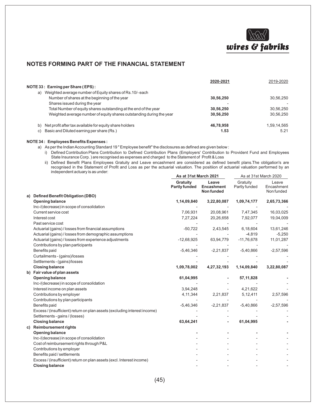

|                                                                      | 2020-2021 | 2019-2020   |
|----------------------------------------------------------------------|-----------|-------------|
| NOTE 33 : Earning per Share (EPS) :                                  |           |             |
| a) Weighted average number of Equity shares of Rs.10/-each           |           |             |
| Number of shares at the beginning of the year                        | 30.56.250 | 30.56.250   |
| Shares issued during the year                                        |           |             |
| Total Number of equity shares outstanding at the end of the year     | 30.56.250 | 30.56.250   |
| Weighted average number of equity shares outstanding during the year | 30.56.250 | 30.56.250   |
| Net profit after tax available for equity share holders              | 46.78.958 | 1.59.14.565 |
| Basic and Diluted earning per share (Rs.)                            | 1.53      | 5.21        |
|                                                                      |           |             |

#### **NOTE 34 : Employees Benefits Expenses :**

a) As per the Indian Accounting Standard 19 " Employee benefit" the disclosures as defined are given below :

- i) Defined Contribution Plans Contribution to Defined Contribution Plans (Employers' Contribution to Provident Fund and Employees State Insurance Corp. ) are recognised as expenses and charged to the Statement of Profit & Loss
- ii) Defined Benefit Plans Employees Gratuity and Leave encashment are considered as defined benefit plans.The obligation's are recognised in the Statement of Profit and Loss as per the actuarial valuation. The positiion of actuarial valuation performed by an independent actuary is as under: **As at 31st March 2021** As at 31st March 2020

|                                                                           | ASAL JISL MAIGH ZUZ I            |                                   | AS ALVISLIVIAIUI ZUZU     |                                   |
|---------------------------------------------------------------------------|----------------------------------|-----------------------------------|---------------------------|-----------------------------------|
|                                                                           | Gratuity<br><b>Partly funded</b> | Leave<br>Encashment<br>Non funded | Gratuity<br>Partly funded | Leave<br>Encashment<br>Non funded |
| a) Defined Benefit Obligation (DBO)                                       |                                  |                                   |                           |                                   |
| Opening balance                                                           | 1,14,09,840                      | 3,22,80,087                       | 1,09,74,177               | 2,65,73,366                       |
| Inc-/(decrease) in scope of consolidation                                 |                                  |                                   |                           |                                   |
| Current service cost                                                      | 7,06,931                         | 20,08,961                         | 7,47,345                  | 16,03,025                         |
| Interest cost                                                             | 7,27,224                         | 20,26,658                         | 7,92,077                  | 19,04,009                         |
| Past service cost                                                         |                                  |                                   |                           |                                   |
| Actuarial (gains) / losses from financial assumptions                     | $-50,722$                        | 2,43,545                          | 6,18,604                  | 13,61,246                         |
| Actuarial (gains) / losses from demographic assumptions                   |                                  |                                   | $-4,819$                  | $-5,250$                          |
| Actuarial (gains) / losses from experience adjustments                    | $-12,68,925$                     | 63,94,779                         | $-11,76,678$              | 11,01,287                         |
| Contributions by plan participants                                        |                                  |                                   |                           |                                   |
| Benefits paid                                                             | $-5,46,346$                      | $-2,21,837$                       | $-5,40,866$               | $-2,57,596$                       |
| Curtailments - (gains)/losses                                             |                                  |                                   |                           |                                   |
| Settlements - (gains)/losses                                              |                                  |                                   |                           |                                   |
| <b>Closing balance</b>                                                    | 1,09,78,002                      | 4,27,32,193                       | 1,14,09,840               | 3,22,80,087                       |
| b) Fair value of plan assets                                              |                                  |                                   |                           |                                   |
| Opening balance                                                           | 61,04,995                        |                                   | 57, 11, 828               |                                   |
| Inc-/(decrease) in scope of consolidation                                 |                                  |                                   |                           |                                   |
| Interest income on plan assets                                            | 3,94,248                         |                                   | 4,21,622                  |                                   |
| Contributions by employer                                                 | 4, 11, 344                       | 2,21,837                          | 5,12,411                  | 2,57,596                          |
| Contributions by plan participants                                        |                                  |                                   |                           |                                   |
| Benefits paid                                                             | $-5,46,346$                      | $-2,21,837$                       | $-5,40,866$               | $-2,57,596$                       |
| Excess / (insufficient) return on plan assets (excluding interest income) |                                  |                                   |                           |                                   |
| Settlements - gains / (losses)                                            |                                  |                                   |                           |                                   |
| <b>Closing balance</b>                                                    | 63,64,241                        |                                   | 61,04,995                 |                                   |
| c) Reimbursement rights                                                   |                                  |                                   |                           |                                   |
| <b>Opening balance</b>                                                    |                                  |                                   |                           |                                   |
| Inc-/(decrease) in scope of consolidation                                 |                                  |                                   |                           |                                   |
| Cost of reimbursement rights through P&L                                  |                                  |                                   |                           |                                   |
| Contributions by employer                                                 |                                  |                                   |                           |                                   |
| Benefits paid / settlements                                               |                                  |                                   |                           |                                   |
| Excess / (insufficient) return on plan assets (excl. Interest income)     |                                  |                                   |                           |                                   |
| <b>Closing balance</b>                                                    |                                  |                                   |                           |                                   |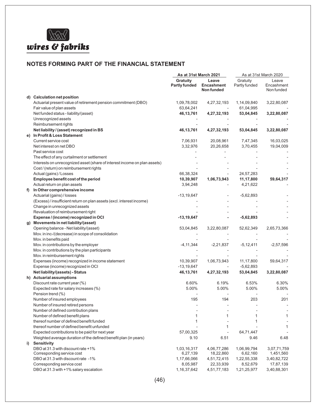

|                                                                                             | As at 31st March 2021            |                                   | As at 31st March 2020     |                                   |
|---------------------------------------------------------------------------------------------|----------------------------------|-----------------------------------|---------------------------|-----------------------------------|
|                                                                                             | Gratuity<br><b>Partly funded</b> | Leave<br>Encashment<br>Non funded | Gratuity<br>Partly funded | Leave<br>Encashment<br>Non funded |
| d) Calculation net position                                                                 |                                  |                                   |                           |                                   |
| Actuarial present value of retirement pension commitment (DBO)<br>Fair value of plan assets | 1,09,78,002<br>63,64,241         | 4,27,32,193                       | 1,14,09,840<br>61,04,995  | 3,22,80,087                       |
| Net funded status - liability/(asset)                                                       | 46,13,761                        | 4,27,32,193                       | 53,04,845                 | 3,22,80,087                       |
| Unrecognized assets                                                                         |                                  |                                   |                           |                                   |
| Reimbursement rights                                                                        |                                  |                                   |                           |                                   |
| Net liability / (asset) recognized in BS                                                    | 46, 13, 761                      | 4,27,32,193                       | 53,04,845                 | 3,22,80,087                       |
| e) In Profit & Loss Statement                                                               |                                  |                                   |                           |                                   |
| Current service cost                                                                        | 7,06,931                         | 20,08,961                         | 7,47,345                  | 16,03,025                         |
| Net interest on net DBO                                                                     | 3,32,976                         | 20,26,658                         | 3,70,455                  | 19,04,009                         |
| Past service cost                                                                           |                                  |                                   |                           |                                   |
| The effect of any curtailment or settlement                                                 |                                  |                                   |                           |                                   |
| Interests on unrecognized asset (share of interest income on plan assets)                   |                                  |                                   |                           |                                   |
| Cost / (return) on reimbursement rights                                                     |                                  |                                   |                           |                                   |
| Actual (gains) / Losses                                                                     | 66,38,324                        | $\sim$                            | 24,57,283                 |                                   |
| Employee benefit cost of the period                                                         | 10,39,907                        | 1,06,73,943                       | 11,17,800                 | 59,64,317                         |
| Actual return on plan assets                                                                | 3,94,248                         |                                   | 4,21,622                  |                                   |
| f) In Other comprehensive income                                                            |                                  |                                   |                           |                                   |
| Actuarial (gains) / losses                                                                  | $-13, 19, 647$                   |                                   | $-5,62,893$               |                                   |
| (Excess) / insufficient return on plan assets (excl. interest income)                       |                                  |                                   |                           |                                   |
| Change in unrecognized assets                                                               |                                  |                                   |                           |                                   |
| Revaluation of reimbursement right                                                          |                                  | J.                                |                           |                                   |
| Expense / (income) recognized in OCI                                                        | $-13, 19, 647$                   |                                   | $-5,62,893$               |                                   |
| g) Movements in net liability/(asset)                                                       |                                  |                                   |                           |                                   |
| Opening balance - Net liability/(asset)                                                     | 53,04,845                        | 3,22,80,087                       | 52,62,349                 | 2,65,73,366                       |
| Mov. in inc-/(decrease) in scope of consolidation                                           |                                  |                                   |                           |                                   |
| Mov. in benefits paid                                                                       |                                  |                                   |                           |                                   |
| Mov. in contributions by the employer                                                       | $-4, 11, 344$                    | $-2,21,837$                       | $-5, 12, 411$             | $-2,57,596$                       |
| Mov. in contributions by the plan participants                                              |                                  |                                   |                           |                                   |
| Mov. in reimbursement rights                                                                |                                  |                                   |                           |                                   |
| Expenses (income) recognized in income statement                                            | 10,39,907                        | 1,06,73,943                       | 11,17,800                 | 59,64,317                         |
| Expense (income) recognized in OCI                                                          | $-13, 19, 647$                   |                                   | $-5,62,893$               |                                   |
| Net liability/(assets) - Status                                                             | 46,13,761                        | 4,27,32,193                       | 53,04,845                 | 3,22,80,087                       |
| h) Actuarial assumptions                                                                    |                                  |                                   |                           |                                   |
| Discount rate current year (%)                                                              | 6.60%                            | 6.19%                             | 6.53%                     | 6.30%                             |
| Expected rate for salary increases (%)                                                      | 5.00%                            | 5.00%                             | 5.00%                     | 5.00%                             |
| Pension trend (%)                                                                           |                                  |                                   |                           |                                   |
| Number of insured employees                                                                 | 195                              | 194                               | 203                       | 201                               |
| Number of insured retired persons                                                           |                                  | ÷,                                | ÷                         |                                   |
| Number of defined contribution plans                                                        |                                  | ÷,                                |                           |                                   |
| Number of defined benefit plans                                                             | 1                                | 1                                 | $\mathbf{1}$              | $\mathbf{1}$                      |
| thereof number of defined benefit funded                                                    | $\mathbf{1}$                     | J.                                | $\mathbf{1}$              |                                   |
| thereof number of defined benefit unfunded                                                  |                                  | 1                                 |                           | 1                                 |
| Expected contributions to be paid for next year                                             | 57,00,325                        | ÷.                                | 64,71,447                 |                                   |
| Weighted average duration of the defined benefit plan (in years)                            | 9.10                             | 6.51                              | 9.46                      | 6.48                              |
| i) Sensitivity                                                                              |                                  |                                   |                           |                                   |
| DBO at 31.3 with discount rate +1%<br>Corresponding service cost                            | 1,03,16,317<br>6,27,139          | 4,06,77,286<br>18,22,860          | 1,06,99,794<br>6,62,160   | 3,07,71,759<br>1,451,560          |
| DBO at 31.3 with discount rate -1%                                                          | 1,17,66,066                      | 4,51,72,415                       | 1,22,55,338               | 3,40,82,722                       |
| Corresponding service cost                                                                  | 8,05,987                         | 22,33,939                         | 8,52,679                  | 17,87,139                         |
| DBO at 31.3 with +1% salary escalation                                                      | 1, 16, 37, 642                   | 4,51,77,183                       | 1,21,25,977               | 3,40,88,301                       |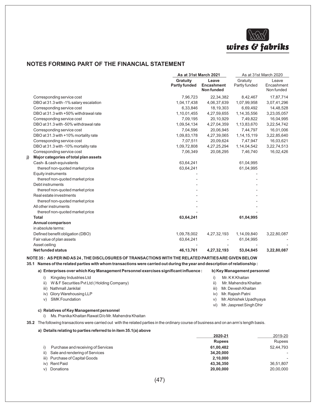

|    |                                        | As at 31st March 2021            |                                          | As at 31st March 2020     |                                   |
|----|----------------------------------------|----------------------------------|------------------------------------------|---------------------------|-----------------------------------|
|    |                                        | Gratuity<br><b>Partly funded</b> | Leave<br><b>Encashment</b><br>Non funded | Gratuity<br>Partly funded | Leave<br>Encashment<br>Non funded |
|    | Corresponding service cost             | 7,96,723                         | 22,34,382                                | 8,42,467                  | 17,87,714                         |
|    | DBO at 31.3 with -1% salary escalation | 1,04,17,438                      | 4,06,37,639                              | 1,07,99,958               | 3,07,41,296                       |
|    | Corresponding service cost             | 6,33,846                         | 18,19,303                                | 6,69,492                  | 14,48,528                         |
|    | DBO at 31.3 with +50% withdrawal rate  | 1,10,01,455                      | 4,27,59,655                              | 1,14,35,556               | 3,23,05,057                       |
|    | Corresponding service cost             | 7,09,195                         | 20,10,929                                | 7,49,822                  | 16,04,995                         |
|    | DBO at 31.3 with -50% withdrawal rate  | 1,09,54,134                      | 4,27,04,359                              | 1,13,83,670               | 3,22,54,742                       |
|    | Corresponding service cost             | 7,04,596                         | 20,06,945                                | 7,44,797                  | 16,01,006                         |
|    | DBO at 31.3 with +10% mortality rate   | 1,09,83,178                      | 4,27,39,065                              | 1, 14, 15, 119            | 3,22,85,640                       |
|    | Corresponding service cost             | 7,07,511                         | 20,09,624                                | 7,47,947                  | 16,03,621                         |
|    | DBO at 31.3 with -10% mortality rate   | 1,09,72,808                      | 4,27,25,294                              | 1,14,04,542               | 3,22,74,513                       |
|    | Corresponding service cost             | 7,06,349                         | 20,08,295                                | 7,46,740                  | 16,02,426                         |
| j) | Major categories of total plan assets  |                                  |                                          |                           |                                   |
|    | Cash-& cash equivalents                | 63,64,241                        |                                          | 61,04,995                 |                                   |
|    | thereof non-quoted market price        | 63,64,241                        |                                          | 61,04,995                 |                                   |
|    | <b>Equity instruments</b>              |                                  |                                          |                           |                                   |
|    | thereof non-quoted market price        |                                  |                                          |                           |                                   |
|    | <b>Debt instruments</b>                |                                  |                                          |                           |                                   |
|    | thereof non-quoted market price        |                                  |                                          |                           |                                   |
|    | Real estate investments                |                                  |                                          |                           |                                   |
|    | thereof non-quoted market price        |                                  |                                          |                           |                                   |
|    | All other instruments                  |                                  |                                          |                           |                                   |
|    | thereof non-quoted market price        |                                  |                                          |                           |                                   |
|    | Total                                  | 63,64,241                        |                                          | 61,04,995                 |                                   |
|    | Annual comparison                      |                                  |                                          |                           |                                   |
|    | in absolute terms:                     |                                  |                                          |                           |                                   |
|    | Defined benefit obligation (DBO)       | 1,09,78,002                      | 4,27,32,193                              | 1,14,09,840               | 3,22,80,087                       |
|    | Fair value of plan assets              | 63,64,241                        |                                          | 61,04,995                 |                                   |
|    | Asset ceiling                          |                                  |                                          |                           |                                   |
|    | Net funded status                      | 46, 13, 761                      | 4,27,32,193                              | 53,04,845                 | 3,22,80,087                       |

#### **NOTE 35 : AS PER IND AS 24 , THE DISCLOSURES OF TRANSACTIONS WITH THE RELATED PARTIES ARE GIVEN BELOW**

**35.1 Names of the related parties with whom transactions were carried out during the year and description of relationship :**

**a) Enterprises over which Key Management Personnel exercises significant influence : b) Key Management personnel**

| Enterprises over which Ney Management Personnel exercises significant influence : |      | b) Ney Management personnel |  |
|-----------------------------------------------------------------------------------|------|-----------------------------|--|
| Kingsley Industries Ltd                                                           |      | Mr. KK Khaitan              |  |
| W & F Securities Pvt Ltd (Holding Company)<br>ii)                                 | ii)  | Mr. Mahendra Khaitan        |  |
| iii) Nathmall Jankilal                                                            | iii) | Mr. Devesh Khaitan          |  |
| iv) Glory Warehousing LLP                                                         |      | iv) Mr. Rajesh Patni        |  |
| <b>SMK Foundation</b>                                                             | v)   | Mr. Abhishek Upadhyaya      |  |
|                                                                                   |      | vi) Mr. Jaspreet Singh Dhir |  |
|                                                                                   |      |                             |  |

#### **c) Relatives of Key Management personnel**

i) Ms. Pranika Khaitan Rawat D/o Mr. Mahendra Khaitan

**35.2** The following transactions were carried out with the related parties in the ordinary course of business and on an arm's length basis.

#### **a) Details relating to parties referred to in item 35.1(a) above**

|                                    | 2020-21       | 2019-20       |
|------------------------------------|---------------|---------------|
|                                    | <b>Rupees</b> | <b>Rupees</b> |
| Purchase and receiving of Services | 61,00,482     | 52,44,793     |
| ii) Sale and rendering of Services | 34,20,000     | ۰             |
| iii) Purchase of Capital Goods     | 2.10.000      |               |
| iv) Rent Paid                      | 43,36,350     | 36,51,807     |
| Donations<br>v)                    | 20,00,000     | 20,00,000     |
|                                    |               |               |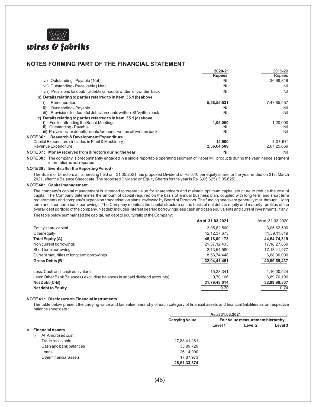

|                                                                          | 2020-21       | 2019-20       |
|--------------------------------------------------------------------------|---------------|---------------|
|                                                                          | <b>Rupees</b> | <b>Rupees</b> |
| vi) Outstanding - Payable (Net)                                          | Nil           | 36,98,816     |
| vii) Outstanding - Receivable (Net)                                      | Nil           | Nil           |
| viii) Provisions for doubtful debts / amounts written off / written back | Nil           | Nil           |
| b) Details relating to parties referred to in item 35.1 (b) above.       |               |               |
| Remuneration<br>i).                                                      | 5,58,55,521   | 7,47,85,557   |
| Outstanding - Payable<br>ii)                                             | Nil           | Nil           |
| iii)<br>Provisions for doubtful debts/amounts written off/written back   | Nil           | Nil           |
| c) Details relating to parties referred to in item 35.1 (c) above.       |               |               |
| Fee for attending the Board Meetings                                     | 1,05,000      | 1,20,000      |
| ii) Outstanding - Payable                                                | Nil           | Nil           |
| iii) Provisions for doubtful debts/amounts written off/written back      | Nil           | Nil           |
| Research & Development Expenditure:<br><b>NOTE 36 :</b>                  |               |               |
| Capital Expenditure (included in Plant & Machinery)                      | 14.500        | 4,07,671      |
| Revenue Expenditure                                                      | 2,36,64,589   | 2,67,25,669   |
| NOTE 37 : Money received from directors during the year                  | Nil           | Nil           |

**NOTE 38 :** The company is predominantly engaged in a single reportable operating segment of Paper Mill products during the year, hence segment information is not reported.

#### **NOTE 39 : Events after the Reporting Period -**

The Board of Directors at its meeting held on 31.05.2021 has proposed Dividend of Rs 0.10 per equity share for the year ended on 31st March 2021, after the Balance Sheet date. The proposed Dividend on Equity Shares for the year is Rs. 3,05,625 ( 3,05,625).

#### **NOTE 40 : Capital management**

The company's capital management is intended to create value for shareholders and maintain optimum capital structure to reduce the cost of capital. The Company determines the amount of capital required on the basis of annual business plan, coupled with long term and short term requirements and company's expansion / moderisation plans, reviewed by Board of Directors. The funding needs are generally met through long term and short term bank borrowings. The Company monitors the capital structure on the basis of net debt to equity and maturity profiles of the overall debt portfolio of the company. Net debt includes interest bearing borrowings less cash and cash equivalents and current investments, if any.

The table below summarised the capital, net debt to equity ratio of the Company:

|                                                                            | As at 31.03.2021 | As at 31.03.2020 |
|----------------------------------------------------------------------------|------------------|------------------|
| Equity share capital                                                       | 3,05,62,500      | 3,05,62,500      |
| Other equity                                                               | 42, 12, 37, 673  | 41,59,11,819     |
| Total Equity (A)                                                           | 45, 18, 00, 173  | 44,64,74,319     |
| Non current borrowings                                                     | 21, 37, 12, 433  | 17, 18, 27, 860  |
| Short term borrowings                                                      | 2,13,54,580      | 17, 13, 41, 577  |
| Current maturities of long term borrowings                                 | 8,53,74,448      | 6,68,00,000      |
| Gross Debts (B)                                                            | 32,04,41,461     | 40,99,69,437     |
| Less: Cash and cash equivalents                                            | 15.23.341        | 1,10,00,524      |
| Less: Other Bank Balances (excluding balances in unpaid dividend accounts) | 9.70.106         | 6,89,70,106      |
| Net Debt (C-B)                                                             | 31,79,48,014     | 32,99,98,807     |
| <b>Net debt to Equity</b>                                                  | 0.70             | 0.74             |

#### **NOTE 41 : Disclosure on Financial Instruments**

The table below present the carrying value and fair value hierarchy of each category of financial assets and financial liabilities as on respective balance sheet date :

|                        | As at 31.03.2021      |         |                                  |         |
|------------------------|-----------------------|---------|----------------------------------|---------|
|                        | <b>Carrying Value</b> |         | Fair Value measurement hierarchy |         |
|                        |                       | Level 1 | Level 2                          | Level 3 |
| a Financial Assets     |                       |         |                                  |         |
| At Amortised cost      |                       |         |                                  |         |
| Trade receivable       | 27,83,41,281          |         |                                  |         |
| Cash and bank balances | 33,89,720             |         |                                  |         |
| Loans                  | 26,14,900             |         |                                  |         |
| Other financial assets | 17,87,973             |         |                                  |         |
|                        | 28,61,33,874          |         |                                  |         |
|                        |                       |         |                                  |         |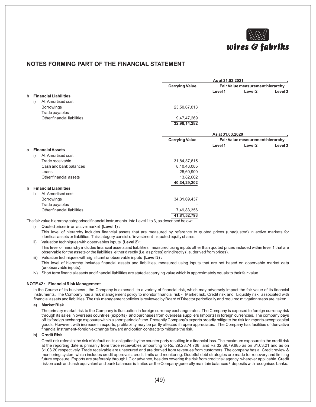

|   |                              | As at 31.03.2021      |         |                                  |         |
|---|------------------------------|-----------------------|---------|----------------------------------|---------|
|   |                              | <b>Carrying Value</b> |         | Fair Value measurement hierarchy |         |
|   |                              |                       | Level 1 | Level <sub>2</sub>               | Level 3 |
| b | <b>Financial Liabilities</b> |                       |         |                                  |         |
|   | i)<br>At Amortised cost      |                       |         |                                  |         |
|   | Borrowings                   | 23,50,67,013          |         |                                  |         |
|   | Trade payables               |                       |         |                                  |         |
|   | Other financial liabilities  | 9,47,47,269           |         |                                  |         |
|   |                              | 32,98,14,282          |         |                                  |         |
|   |                              | As at 31.03.2020      |         |                                  |         |
|   |                              | <b>Carrying Value</b> |         | Fair Value measurement hierarchy |         |
|   |                              |                       | Level 1 | Level <sub>2</sub>               | Level 3 |
| a | <b>Financial Assets</b>      |                       |         |                                  |         |
|   | At Amortised cost<br>i)      |                       |         |                                  |         |
|   | Trade receivable             | 31,84,37,615          |         |                                  |         |
|   | Cash and bank balances       | 8,10,48,085           |         |                                  |         |
|   | Loans                        | 25,60,900             |         |                                  |         |
|   | Other financial assets       | 13,82,602             |         |                                  |         |
|   |                              | 40,34,29,202          |         |                                  |         |
| b | <b>Financial Liabilities</b> |                       |         |                                  |         |
|   | i)<br>At Amortised cost      |                       |         |                                  |         |
|   | Borrowings                   | 34, 31, 69, 437       |         |                                  |         |
|   | Trade payables               |                       |         |                                  |         |
|   | Other financial liabilities  | 7,49,83,356           |         |                                  |         |
|   |                              | 41,81,52,793          |         |                                  |         |

The fair value hierarchy categorised financial instruments into Level 1 to 3, as described below:

i) Quoted prices in an active market **(Level 1) :** This level of hierarchy includes financial assets that are measured by reference to quoted prices (unadjusted) in active markets for identical assets or liabilities. This category consist of investment in quoted equity shares.

Valuation techniques with observables inputs (Level 2) : This level of hierarchy includes financial assets and liabilities, measured using inputs other than quoted prices included within level 1 that are observable for the assets or the liabilities, either directly (i.e. as prices) or indirectly (i.e. derived from prices).

iii) Valuation techniques with significant unobservable inputs **(Level 3) :** This level of hierarchy includes financial assets and liabilities, measured using inputs that are not based on observable market data (unobservable inputs).

iv) Short term financial assets and financial liabilities are stated at carrying value which is approximately equals to their fair value.

#### **NOTE 42 : Financial Risk Management**

In the Course of its business , the Company is exposed to a variety of financial risk, which may adversely impact the fair value of its financial instruments. The Company has a risk management policy to monitor financial risk - Market risk, Credit risk and Liquidity risk associated with financial assets and liabilities. The risk management policies is reviewed by Board of Director periodically and required mitigation steps are taken.

#### **a) Market Risk**

The primary market risk to the Company is fluctuation in foreign currency exchange rates. The Company is exposed to foreign currency risk through its sales in overseas countries (exports) and purchases from overseas suppliers (imports) in foreign currencies. The company pays off its foreign exchange exposure within a short period of time. Presently Company's exports broadly mitigate the risk for imports except capital goods. However, with increase in exports, profitability may be partly affected if rupee appreciates. The Company has facilities of derivative financial instrument- foreign exchange forward and option contracts to mitigate the risk.

#### **b) Credit Risk**

Credit risk refers to the risk of default on its obligation by the counter party resulting in a financial loss. The maximum exposure to the credit risk at the reporting date is primarily from trade receivables amounting to Rs. 29,28,74,708 and Rs 32,89,79,885 as on 31.03.21 and as on 31.03.20 respectively. Trade receivable are unsecured and are derived from revenues from customers. The company has a Credit review & monitoring system which includes credit approvals, credit limits and monitoring. Doubtful debt strategies are made for recovery and limiting future exposure. Exports are preferably through LC or advance, besides covering the risk from credit risk agency, wherever applicable. Credit risk on cash and cash equivalent and bank balances is limited as the Company generally maintain balances / deposits with recognised banks.